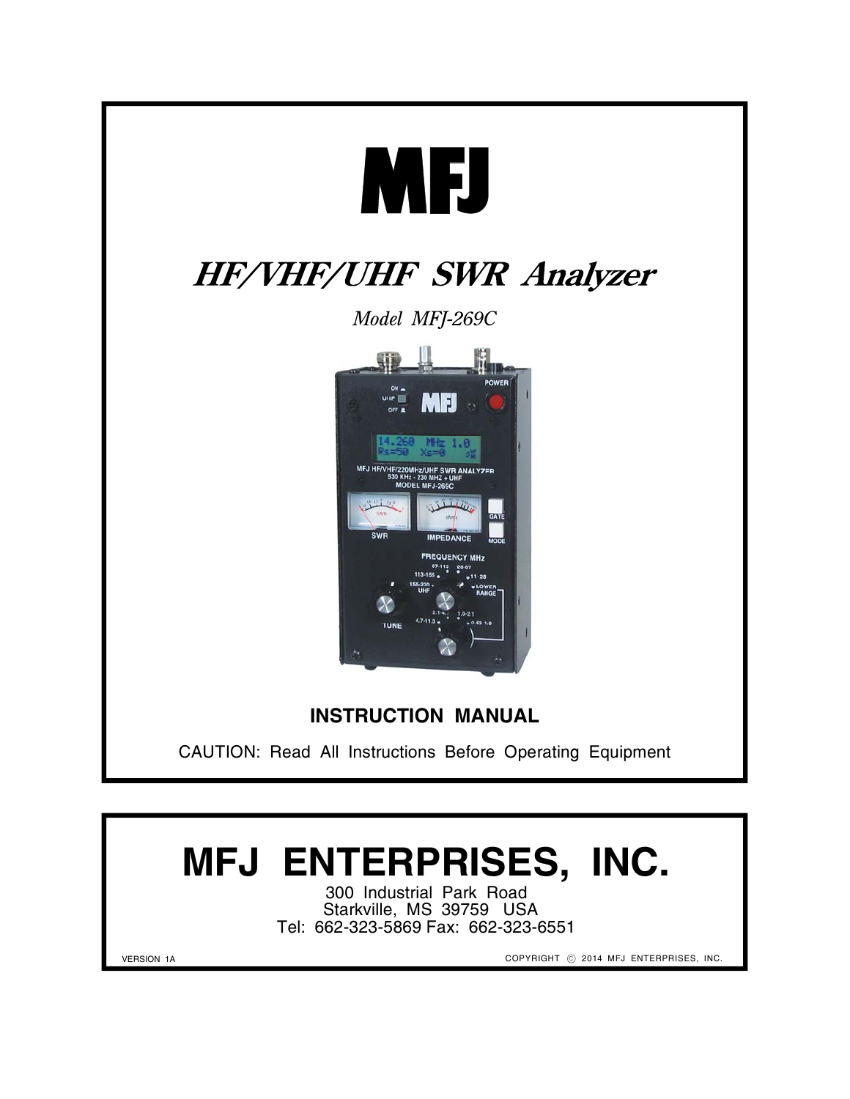

# **MFJ ENTERPRISES, INC.**

300 Industrial Park Road Starkville, MS 39759 USA Tel: 662-323-5869 Fax: 662-323-6551

VERSION 1A

COPYRIGHT  $\odot$  2014 MFJ ENTERPRISES, INC.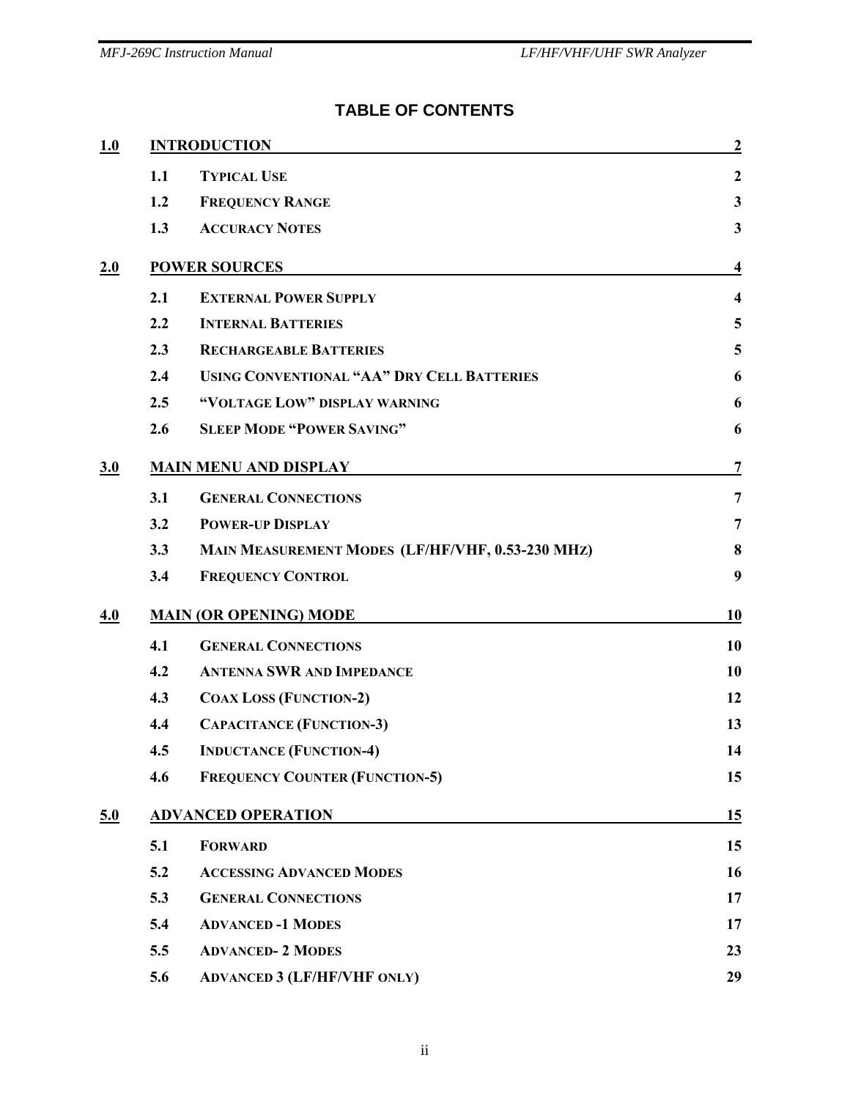# **TABLE OF CONTENTS**

| 1.0 |                               | <b>INTRODUCTION</b>                               |                         |
|-----|-------------------------------|---------------------------------------------------|-------------------------|
|     | 1.1                           | <b>TYPICAL USE</b>                                | $\boldsymbol{2}$        |
|     | 1.2                           | <b>FREQUENCY RANGE</b>                            | $\mathbf{3}$            |
|     | 1.3                           | <b>ACCURACY NOTES</b>                             | $\mathbf{3}$            |
| 2.0 |                               | <b>POWER SOURCES</b>                              | $\overline{\mathbf{4}}$ |
|     | 2.1                           | <b>EXTERNAL POWER SUPPLY</b>                      | $\overline{\mathbf{4}}$ |
|     | 2.2                           | <b>INTERNAL BATTERIES</b>                         | 5                       |
|     | 2.3                           | <b>RECHARGEABLE BATTERIES</b>                     | 5                       |
|     | 2.4                           | <b>USING CONVENTIONAL "AA" DRY CELL BATTERIES</b> | 6                       |
|     | 2.5                           | "VOLTAGE LOW" DISPLAY WARNING                     | 6                       |
|     | 2.6                           | <b>SLEEP MODE "POWER SAVING"</b>                  | 6                       |
| 3.0 | <b>MAIN MENU AND DISPLAY</b>  |                                                   | $\overline{7}$          |
|     | 3.1                           | <b>GENERAL CONNECTIONS</b>                        | $\overline{7}$          |
|     | 3.2                           | <b>POWER-UP DISPLAY</b>                           | 7                       |
|     | 3.3                           | MAIN MEASUREMENT MODES (LF/HF/VHF, 0.53-230 MHZ)  | 8                       |
|     | 3.4                           | <b>FREQUENCY CONTROL</b>                          | 9                       |
| 4.0 | <b>MAIN (OR OPENING) MODE</b> | 10                                                |                         |
|     | 4.1                           | <b>GENERAL CONNECTIONS</b>                        | 10                      |
|     | 4.2                           | <b>ANTENNA SWR AND IMPEDANCE</b>                  | 10                      |
|     | 4.3                           | <b>COAX LOSS (FUNCTION-2)</b>                     | 12                      |
|     | 4.4                           | <b>CAPACITANCE (FUNCTION-3)</b>                   | 13                      |
|     | 4.5                           | <b>INDUCTANCE (FUNCTION-4)</b>                    | 14                      |
|     | 4.6                           | <b>FREQUENCY COUNTER (FUNCTION-5)</b>             | 15                      |
| 5.0 | <b>ADVANCED OPERATION</b>     |                                                   | 15                      |
|     | 5.1                           | <b>FORWARD</b>                                    | 15                      |
|     | 5.2                           | <b>ACCESSING ADVANCED MODES</b>                   | 16                      |
|     | 5.3                           | <b>GENERAL CONNECTIONS</b>                        | 17                      |
|     | 5.4                           | <b>ADVANCED-1 MODES</b>                           | 17                      |
|     | 5.5                           | <b>ADVANCED-2 MODES</b>                           | 23                      |
|     | 5.6                           | <b>ADVANCED 3 (LF/HF/VHF ONLY)</b>                | 29                      |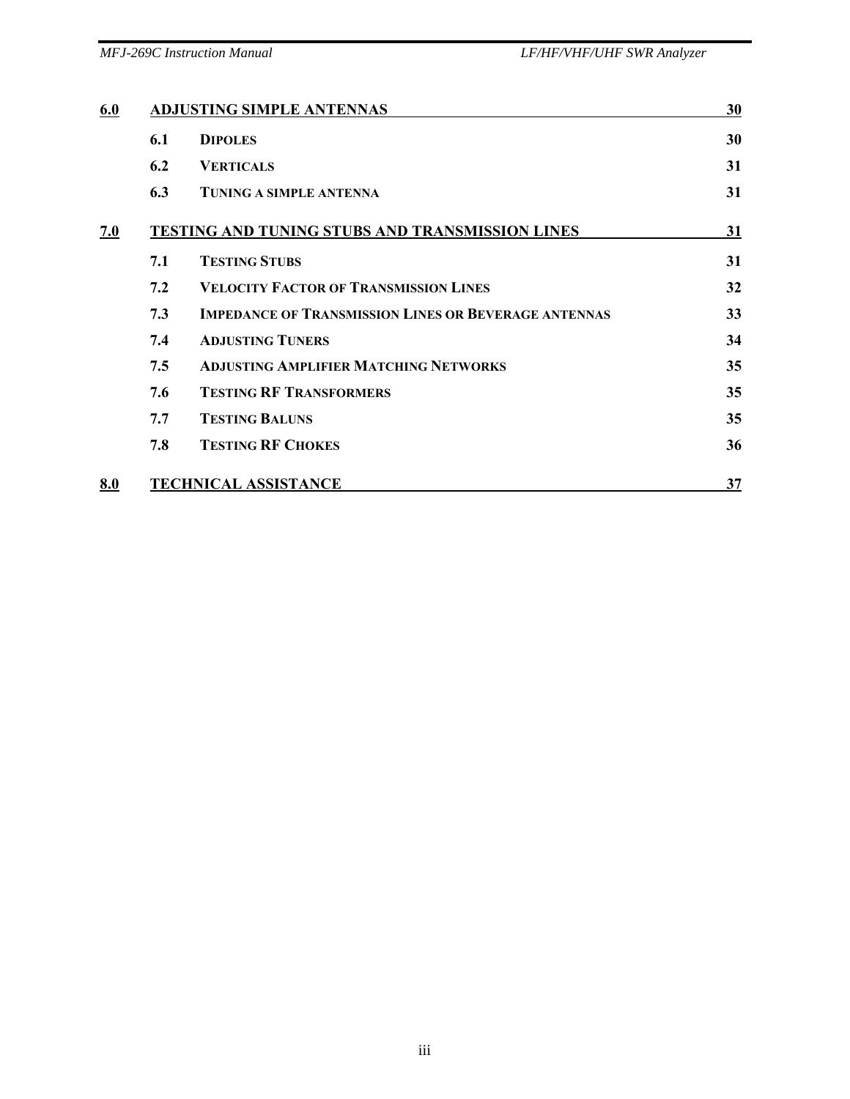| 6.0 |     | <b>ADJUSTING SIMPLE ANTENNAS</b>                            | 30 |
|-----|-----|-------------------------------------------------------------|----|
|     | 6.1 | <b>DIPOLES</b>                                              | 30 |
|     | 6.2 | <b>VERTICALS</b>                                            | 31 |
|     | 6.3 | <b>TUNING A SIMPLE ANTENNA</b>                              | 31 |
| 7.0 |     | TESTING AND TUNING STUBS AND TRANSMISSION LINES             | 31 |
|     | 7.1 | <b>TESTING STUBS</b>                                        | 31 |
|     | 7.2 | <b>VELOCITY FACTOR OF TRANSMISSION LINES</b>                | 32 |
|     | 7.3 | <b>IMPEDANCE OF TRANSMISSION LINES OR BEVERAGE ANTENNAS</b> | 33 |
|     | 7.4 | <b>ADJUSTING TUNERS</b>                                     | 34 |
|     | 7.5 | <b>ADJUSTING AMPLIFIER MATCHING NETWORKS</b>                | 35 |
|     | 7.6 | <b>TESTING RF TRANSFORMERS</b>                              | 35 |
|     | 7.7 | <b>TESTING BALUNS</b>                                       | 35 |
|     | 7.8 | <b>TESTING RF CHOKES</b>                                    | 36 |
| 8.0 |     | <b>TECHNICAL ASSISTANCE</b>                                 | 37 |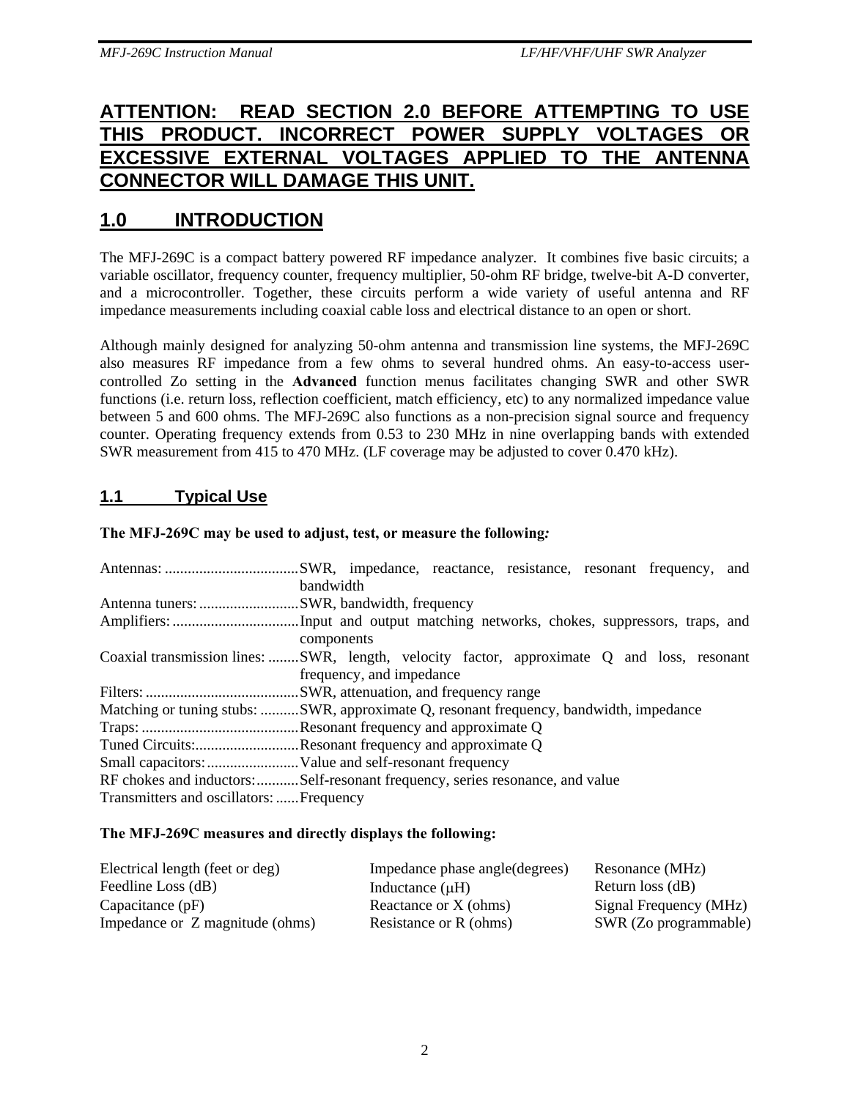# **ATTENTION: READ SECTION 2.0 BEFORE ATTEMPTING TO USE**  THIS PRODUCT. INCORRECT POWER SUPPLY VOLTAGES **EXCESSIVE EXTERNAL VOLTAGES APPLIED TO THE ANTENNA CONNECTOR WILL DAMAGE THIS UNIT.**

# **1.0 INTRODUCTION**

The MFJ-269C is a compact battery powered RF impedance analyzer. It combines five basic circuits; a variable oscillator, frequency counter, frequency multiplier, 50-ohm RF bridge, twelve-bit A-D converter, and a microcontroller. Together, these circuits perform a wide variety of useful antenna and RF impedance measurements including coaxial cable loss and electrical distance to an open or short.

Although mainly designed for analyzing 50-ohm antenna and transmission line systems, the MFJ-269C also measures RF impedance from a few ohms to several hundred ohms. An easy-to-access usercontrolled Zo setting in the **Advanced** function menus facilitates changing SWR and other SWR functions (i.e. return loss, reflection coefficient, match efficiency, etc) to any normalized impedance value between 5 and 600 ohms. The MFJ-269C also functions as a non-precision signal source and frequency counter. Operating frequency extends from 0.53 to 230 MHz in nine overlapping bands with extended SWR measurement from 415 to 470 MHz. (LF coverage may be adjusted to cover 0.470 kHz).

## **1.1 Typical Use**

#### **The MFJ-269C may be used to adjust, test, or measure the following***:*

|                                           | bandwidth                                                                                   |
|-------------------------------------------|---------------------------------------------------------------------------------------------|
| Antenna tuners: SWR, bandwidth, frequency |                                                                                             |
|                                           |                                                                                             |
|                                           | components                                                                                  |
|                                           | Coaxial transmission lines:  SWR, length, velocity factor, approximate Q and loss, resonant |
|                                           | frequency, and impedance                                                                    |
|                                           |                                                                                             |
|                                           | Matching or tuning stubs: SWR, approximate Q, resonant frequency, bandwidth, impedance      |
|                                           |                                                                                             |
|                                           | Tuned Circuits:Resonant frequency and approximate Q                                         |
|                                           |                                                                                             |
|                                           | RF chokes and inductors:Self-resonant frequency, series resonance, and value                |
| Transmitters and oscillators:  Frequency  |                                                                                             |

#### **The MFJ-269C measures and directly displays the following:**

| Electrical length (feet or deg) | Impedance phase angle (degrees) | Resonance (MHz)        |
|---------------------------------|---------------------------------|------------------------|
| Feedline Loss (dB)              | Inductance $(\mu H)$            | Return loss (dB)       |
| Capacitance $(pF)$              | Reactance or X (ohms)           | Signal Frequency (MHz) |
| Impedance or Z magnitude (ohms) | Resistance or R (ohms)          | SWR (Zo programmable)  |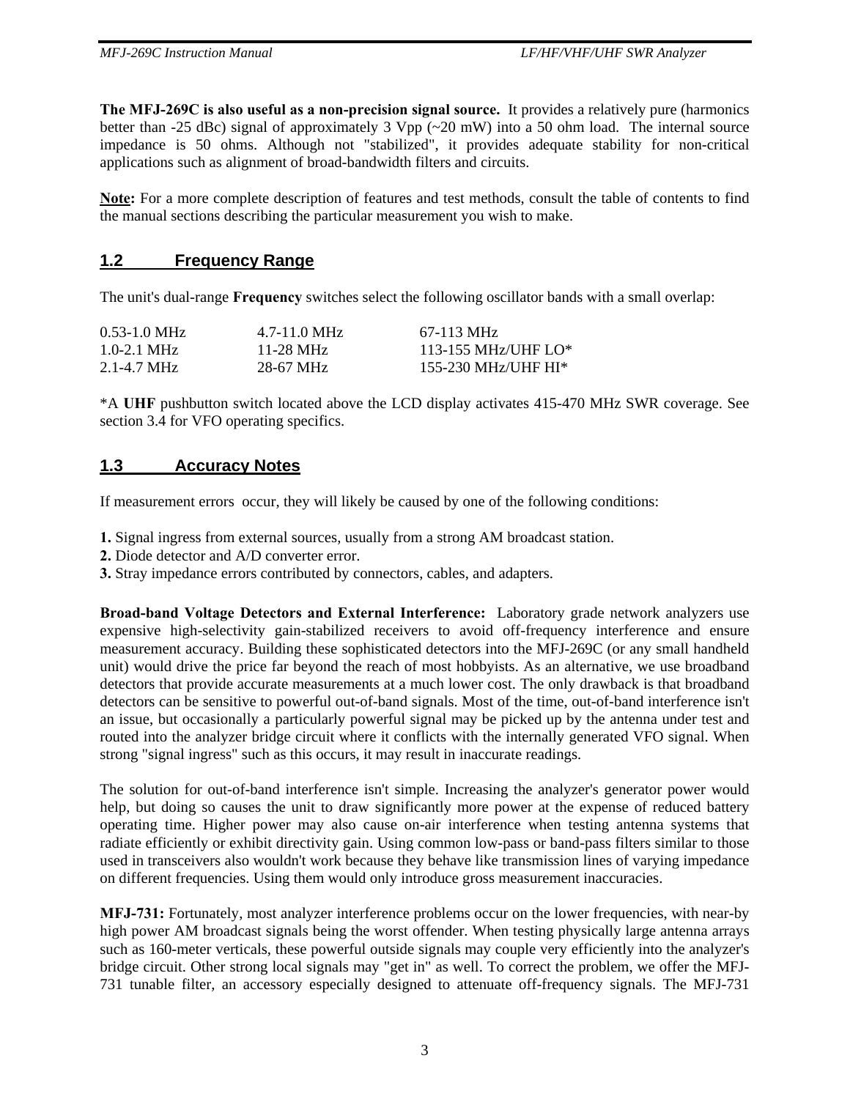**The MFJ-269C is also useful as a non-precision signal source.** It provides a relatively pure (harmonics better than -25 dBc) signal of approximately 3 Vpp  $\sim$  20 mW) into a 50 ohm load. The internal source impedance is 50 ohms. Although not "stabilized", it provides adequate stability for non-critical applications such as alignment of broad-bandwidth filters and circuits.

**Note:** For a more complete description of features and test methods, consult the table of contents to find the manual sections describing the particular measurement you wish to make.

#### **1.2 Frequency Range**

The unit's dual-range **Frequency** switches select the following oscillator bands with a small overlap:

| $0.53 - 1.0$ MHz        | $4.7 - 11.0 \text{ MHz}$ | 67-113 MHz              |
|-------------------------|--------------------------|-------------------------|
| $1.0 - 2.1$ MHz         | 11-28 MHz                | $113 - 155$ MHz/UHF LO* |
| $2.1 - 4.7 \text{ MHz}$ | 28-67 MHz                | 155-230 MHz/UHF HI*     |

\*A **UHF** pushbutton switch located above the LCD display activates 415-470 MHz SWR coverage. See section 3.4 for VFO operating specifics.

#### **1.3 Accuracy Notes**

If measurement errors occur, they will likely be caused by one of the following conditions:

- **1.** Signal ingress from external sources, usually from a strong AM broadcast station.
- **2.** Diode detector and A/D converter error.
- **3.** Stray impedance errors contributed by connectors, cables, and adapters.

**Broad-band Voltage Detectors and External Interference:** Laboratory grade network analyzers use expensive high-selectivity gain-stabilized receivers to avoid off-frequency interference and ensure measurement accuracy. Building these sophisticated detectors into the MFJ-269C (or any small handheld unit) would drive the price far beyond the reach of most hobbyists. As an alternative, we use broadband detectors that provide accurate measurements at a much lower cost. The only drawback is that broadband detectors can be sensitive to powerful out-of-band signals. Most of the time, out-of-band interference isn't an issue, but occasionally a particularly powerful signal may be picked up by the antenna under test and routed into the analyzer bridge circuit where it conflicts with the internally generated VFO signal. When strong "signal ingress" such as this occurs, it may result in inaccurate readings.

The solution for out-of-band interference isn't simple. Increasing the analyzer's generator power would help, but doing so causes the unit to draw significantly more power at the expense of reduced battery operating time. Higher power may also cause on-air interference when testing antenna systems that radiate efficiently or exhibit directivity gain. Using common low-pass or band-pass filters similar to those used in transceivers also wouldn't work because they behave like transmission lines of varying impedance on different frequencies. Using them would only introduce gross measurement inaccuracies.

**MFJ-731:** Fortunately, most analyzer interference problems occur on the lower frequencies, with near-by high power AM broadcast signals being the worst offender. When testing physically large antenna arrays such as 160-meter verticals, these powerful outside signals may couple very efficiently into the analyzer's bridge circuit. Other strong local signals may "get in" as well. To correct the problem, we offer the MFJ-731 tunable filter, an accessory especially designed to attenuate off-frequency signals. The MFJ-731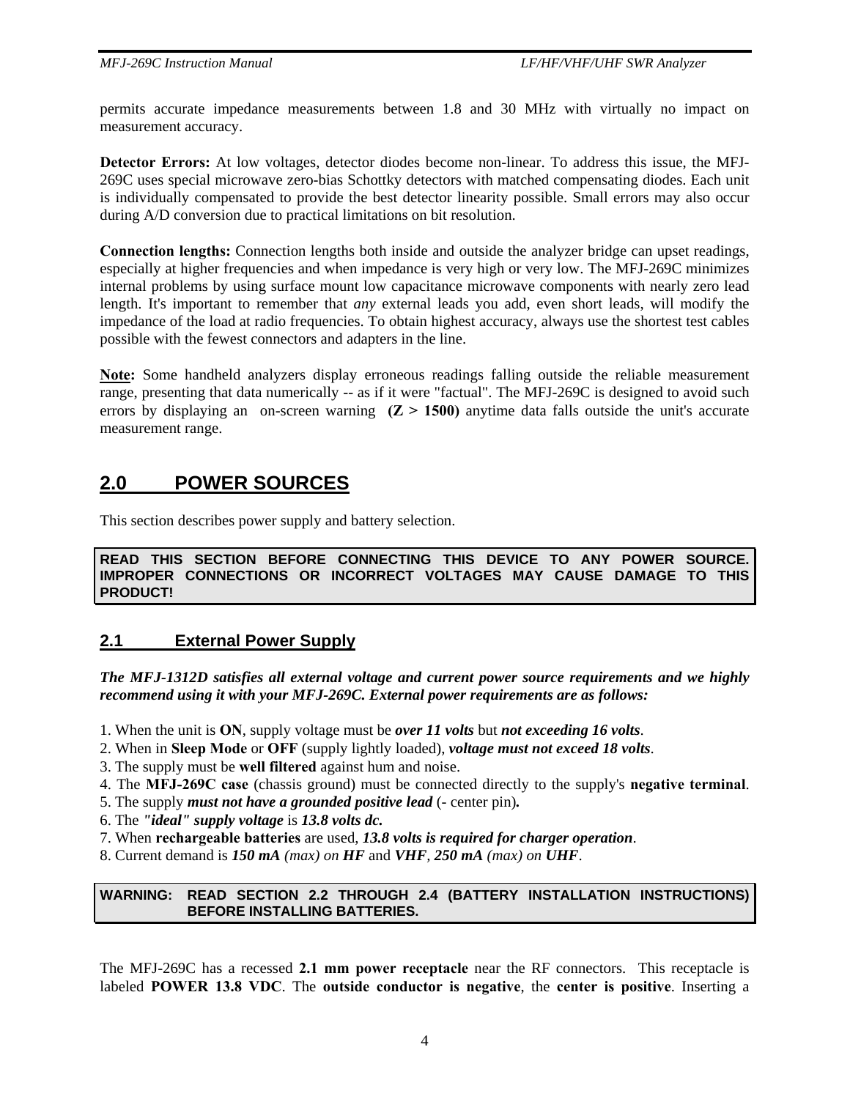permits accurate impedance measurements between 1.8 and 30 MHz with virtually no impact on measurement accuracy.

**Detector Errors:** At low voltages, detector diodes become non-linear. To address this issue, the MFJ-269C uses special microwave zero-bias Schottky detectors with matched compensating diodes. Each unit is individually compensated to provide the best detector linearity possible. Small errors may also occur during A/D conversion due to practical limitations on bit resolution.

**Connection lengths:** Connection lengths both inside and outside the analyzer bridge can upset readings, especially at higher frequencies and when impedance is very high or very low. The MFJ-269C minimizes internal problems by using surface mount low capacitance microwave components with nearly zero lead length. It's important to remember that *any* external leads you add, even short leads, will modify the impedance of the load at radio frequencies. To obtain highest accuracy, always use the shortest test cables possible with the fewest connectors and adapters in the line.

**Note:** Some handheld analyzers display erroneous readings falling outside the reliable measurement range, presenting that data numerically -- as if it were "factual". The MFJ-269C is designed to avoid such errors by displaying an on-screen warning  $(Z > 1500)$  anytime data falls outside the unit's accurate measurement range.

# **2.0 POWER SOURCES**

This section describes power supply and battery selection.

**READ THIS SECTION BEFORE CONNECTING THIS DEVICE TO ANY POWER SOURCE. IMPROPER CONNECTIONS OR INCORRECT VOLTAGES MAY CAUSE DAMAGE TO THIS PRODUCT!** 

#### **2.1 External Power Supply**

*The MFJ-1312D satisfies all external voltage and current power source requirements and we highly recommend using it with your MFJ-269C. External power requirements are as follows:* 

- 1. When the unit is **ON**, supply voltage must be *over 11 volts* but *not exceeding 16 volts*.
- 2. When in **Sleep Mode** or **OFF** (supply lightly loaded), *voltage must not exceed 18 volts*.
- 3. The supply must be **well filtered** against hum and noise.
- 4. The **MFJ-269C case** (chassis ground) must be connected directly to the supply's **negative terminal**.

5. The supply *must not have a grounded positive lead* (- center pin)*.*

- 6. The *"ideal" supply voltage* is *13.8 volts dc.*
- 7. When **rechargeable batteries** are used, *13.8 volts is required for charger operation*.
- 8. Current demand is *150 mA (max) on HF* and *VHF, 250 mA (max) on UHF*.

#### **WARNING: READ SECTION 2.2 THROUGH 2.4 (BATTERY INSTALLATION INSTRUCTIONS) BEFORE INSTALLING BATTERIES.**

The MFJ-269C has a recessed **2.1 mm power receptacle** near the RF connectors. This receptacle is labeled **POWER 13.8 VDC**. The **outside conductor is negative**, the **center is positive**. Inserting a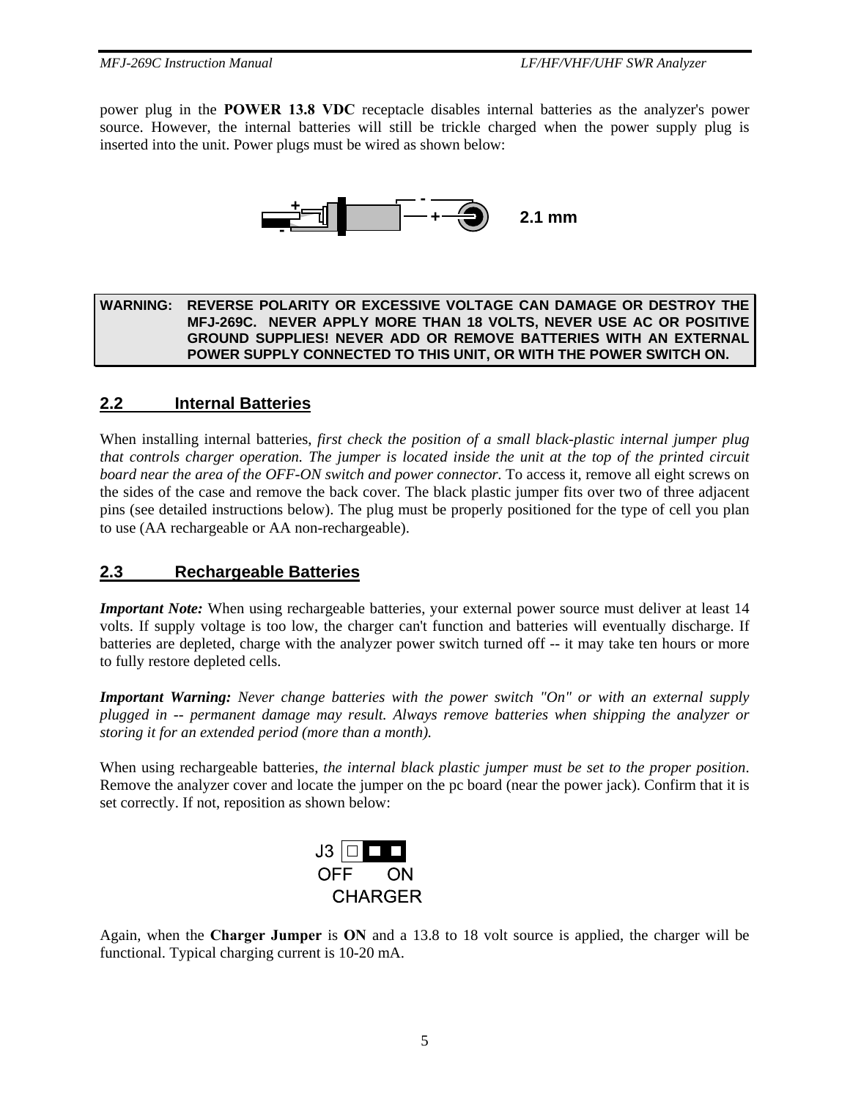power plug in the **POWER 13.8 VDC** receptacle disables internal batteries as the analyzer's power source. However, the internal batteries will still be trickle charged when the power supply plug is inserted into the unit. Power plugs must be wired as shown below:



#### **WARNING: REVERSE POLARITY OR EXCESSIVE VOLTAGE CAN DAMAGE OR DESTROY THE MFJ-269C. NEVER APPLY MORE THAN 18 VOLTS, NEVER USE AC OR POSITIVE GROUND SUPPLIES! NEVER ADD OR REMOVE BATTERIES WITH AN EXTERNAL POWER SUPPLY CONNECTED TO THIS UNIT, OR WITH THE POWER SWITCH ON.**

## **2.2 Internal Batteries**

When installing internal batteries, *first check the position of a small black-plastic internal jumper plug that controls charger operation. The jumper is located inside the unit at the top of the printed circuit board near the area of the OFF-ON switch and power connector.* To access it, remove all eight screws on the sides of the case and remove the back cover. The black plastic jumper fits over two of three adjacent pins (see detailed instructions below). The plug must be properly positioned for the type of cell you plan to use (AA rechargeable or AA non-rechargeable).

## **2.3 Rechargeable Batteries**

*Important Note:* When using rechargeable batteries, your external power source must deliver at least 14 volts. If supply voltage is too low, the charger can't function and batteries will eventually discharge. If batteries are depleted, charge with the analyzer power switch turned off -- it may take ten hours or more to fully restore depleted cells.

*Important Warning: Never change batteries with the power switch "On" or with an external supply plugged in -- permanent damage may result. Always remove batteries when shipping the analyzer or storing it for an extended period (more than a month).* 

When using rechargeable batteries, *the internal black plastic jumper must be set to the proper position*. Remove the analyzer cover and locate the jumper on the pc board (near the power jack). Confirm that it is set correctly. If not, reposition as shown below:



Again, when the **Charger Jumper** is **ON** and a 13.8 to 18 volt source is applied, the charger will be functional. Typical charging current is 10-20 mA.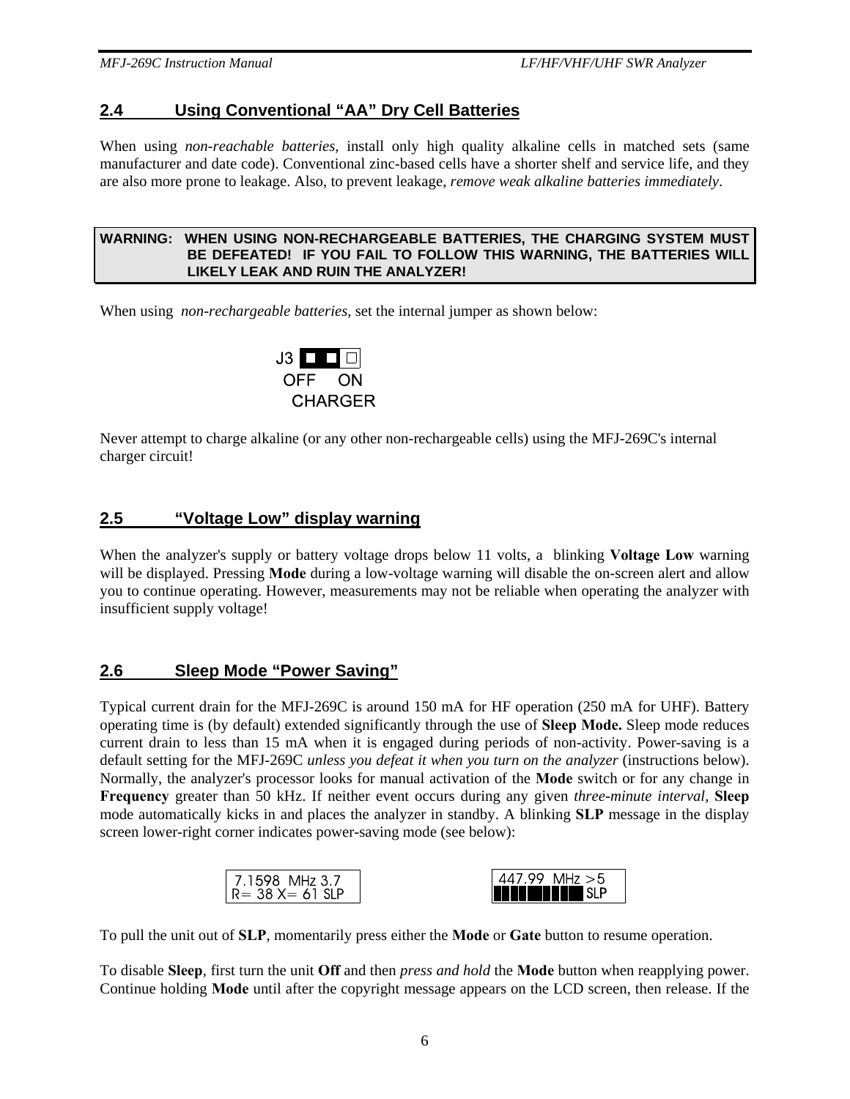## **2.4 Using Conventional "AA" Dry Cell Batteries**

When using *non-reachable batteries*, install only high quality alkaline cells in matched sets (same manufacturer and date code). Conventional zinc-based cells have a shorter shelf and service life, and they are also more prone to leakage. Also, to prevent leakage, *remove weak alkaline batteries immediately*.

#### **WARNING: WHEN USING NON-RECHARGEABLE BATTERIES, THE CHARGING SYSTEM MUST BE DEFEATED! IF YOU FAIL TO FOLLOW THIS WARNING, THE BATTERIES WILL LIKELY LEAK AND RUIN THE ANALYZER!**

When using *non-rechargeable batteries*, set the internal jumper as shown below:



Never attempt to charge alkaline (or any other non-rechargeable cells) using the MFJ-269C's internal charger circuit!

## **2.5 "Voltage Low" display warning**

When the analyzer's supply or battery voltage drops below 11 volts, a blinking **Voltage Low** warning will be displayed. Pressing **Mode** during a low-voltage warning will disable the on-screen alert and allow you to continue operating. However, measurements may not be reliable when operating the analyzer with insufficient supply voltage!

#### **2.6 Sleep Mode "Power Saving"**

Typical current drain for the MFJ-269C is around 150 mA for HF operation (250 mA for UHF). Battery operating time is (by default) extended significantly through the use of **Sleep Mode.** Sleep mode reduces current drain to less than 15 mA when it is engaged during periods of non-activity. Power-saving is a default setting for the MFJ-269C *unless you defeat it when you turn on the analyzer* (instructions below). Normally, the analyzer's processor looks for manual activation of the **Mode** switch or for any change in **Frequency** greater than 50 kHz. If neither event occurs during any given *three-minute interval*, **Sleep** mode automatically kicks in and places the analyzer in standby. A blinking **SLP** message in the display screen lower-right corner indicates power-saving mode (see below):

| MHz $>5$<br>oo.<br>1598 MHz 3.7<br><b>ANTININ</b> SLP<br>$R = 38 X = 61 S$ |
|----------------------------------------------------------------------------|
|----------------------------------------------------------------------------|

To pull the unit out of **SLP**, momentarily press either the **Mode** or **Gate** button to resume operation.

To disable **Sleep**, first turn the unit **Off** and then *press and hold* the **Mode** button when reapplying power. Continue holding **Mode** until after the copyright message appears on the LCD screen, then release. If the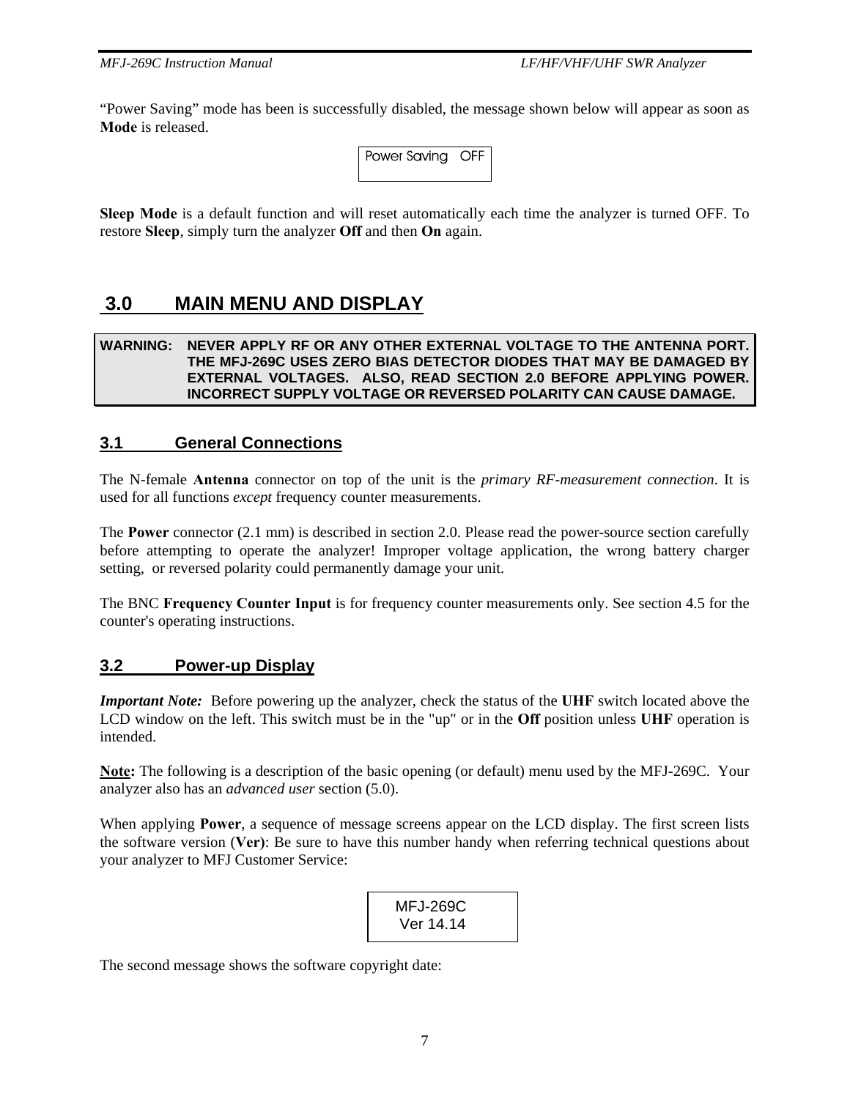"Power Saving" mode has been is successfully disabled, the message shown below will appear as soon as **Mode** is released.

| Power Saving OFF |  |
|------------------|--|
|                  |  |

**Sleep Mode** is a default function and will reset automatically each time the analyzer is turned OFF. To restore **Sleep**, simply turn the analyzer **Off** and then **On** again.

# **3.0 MAIN MENU AND DISPLAY**

#### **WARNING: NEVER APPLY RF OR ANY OTHER EXTERNAL VOLTAGE TO THE ANTENNA PORT. THE MFJ-269C USES ZERO BIAS DETECTOR DIODES THAT MAY BE DAMAGED BY EXTERNAL VOLTAGES. ALSO, READ SECTION 2.0 BEFORE APPLYING POWER. INCORRECT SUPPLY VOLTAGE OR REVERSED POLARITY CAN CAUSE DAMAGE.**

## **3.1 General Connections**

The N-female **Antenna** connector on top of the unit is the *primary RF-measurement connection*. It is used for all functions *except* frequency counter measurements.

The **Power** connector (2.1 mm) is described in section 2.0. Please read the power-source section carefully before attempting to operate the analyzer! Improper voltage application, the wrong battery charger setting, or reversed polarity could permanently damage your unit.

The BNC **Frequency Counter Input** is for frequency counter measurements only. See section 4.5 for the counter's operating instructions.

#### **3.2 Power-up Display**

*Important Note:* Before powering up the analyzer, check the status of the **UHF** switch located above the LCD window on the left. This switch must be in the "up" or in the **Off** position unless **UHF** operation is intended.

**Note:** The following is a description of the basic opening (or default) menu used by the MFJ-269C. Your analyzer also has an *advanced user* section (5.0).

When applying **Power**, a sequence of message screens appear on the LCD display. The first screen lists the software version (**Ver)**: Be sure to have this number handy when referring technical questions about your analyzer to MFJ Customer Service:

 MFJ-269C Ver 14.14

The second message shows the software copyright date: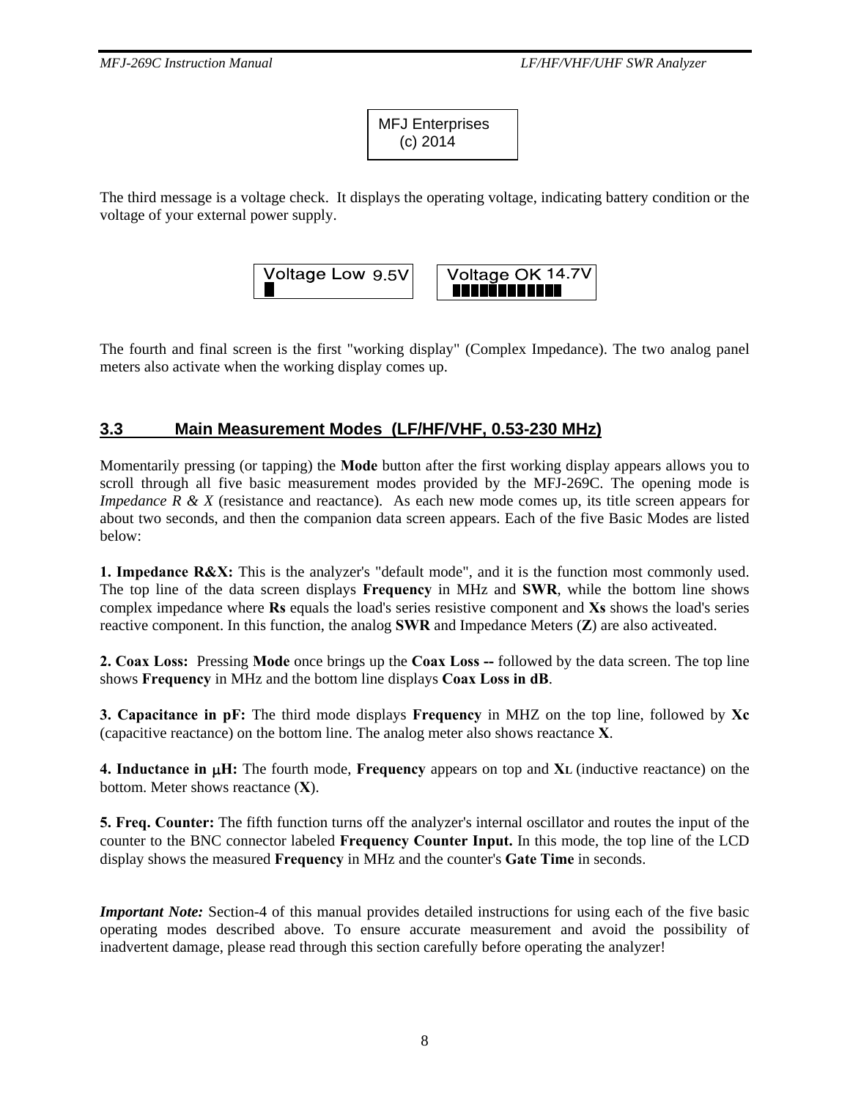| <b>MFJ Enterprises</b> |  |
|------------------------|--|
| $(c)$ 2014             |  |

The third message is a voltage check. It displays the operating voltage, indicating battery condition or the voltage of your external power supply.



The fourth and final screen is the first "working display" (Complex Impedance). The two analog panel meters also activate when the working display comes up.

## **3.3 Main Measurement Modes (LF/HF/VHF, 0.53-230 MHz)**

Momentarily pressing (or tapping) the **Mode** button after the first working display appears allows you to scroll through all five basic measurement modes provided by the MFJ-269C. The opening mode is *Impedance R & X* (resistance and reactance). As each new mode comes up, its title screen appears for about two seconds, and then the companion data screen appears. Each of the five Basic Modes are listed below:

**1. Impedance R&X:** This is the analyzer's "default mode", and it is the function most commonly used. The top line of the data screen displays **Frequency** in MHz and **SWR**, while the bottom line shows complex impedance where **Rs** equals the load's series resistive component and **Xs** shows the load's series reactive component. In this function, the analog **SWR** and Impedance Meters (**Z**) are also activeated.

**2. Coax Loss:** Pressing **Mode** once brings up the **Coax Loss --** followed by the data screen. The top line shows **Frequency** in MHz and the bottom line displays **Coax Loss in dB**.

**3. Capacitance in pF:** The third mode displays **Frequency** in MHZ on the top line, followed by **Xc** (capacitive reactance) on the bottom line. The analog meter also shows reactance **X**.

**4. Inductance in** μ**H:** The fourth mode, **Frequency** appears on top and **XL** (inductive reactance) on the bottom. Meter shows reactance (**X**).

**5. Freq. Counter:** The fifth function turns off the analyzer's internal oscillator and routes the input of the counter to the BNC connector labeled **Frequency Counter Input.** In this mode, the top line of the LCD display shows the measured **Frequency** in MHz and the counter's **Gate Time** in seconds.

*Important Note:* Section-4 of this manual provides detailed instructions for using each of the five basic operating modes described above. To ensure accurate measurement and avoid the possibility of inadvertent damage, please read through this section carefully before operating the analyzer!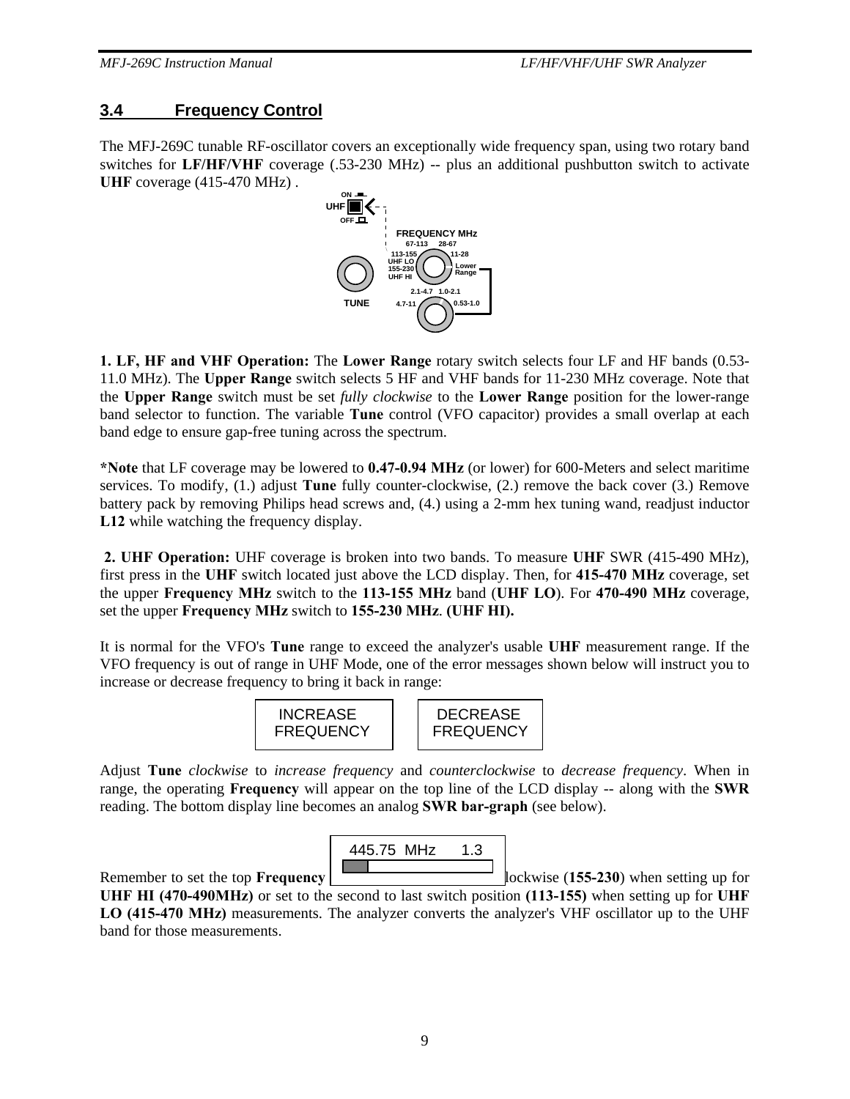## **3.4 Frequency Control**

The MFJ-269C tunable RF-oscillator covers an exceptionally wide frequency span, using two rotary band switches for **LF/HF/VHF** coverage (.53-230 MHz) -- plus an additional pushbutton switch to activate **UHF** coverage (415-470 MHz) .



**1. LF, HF and VHF Operation:** The **Lower Range** rotary switch selects four LF and HF bands (0.53- 11.0 MHz). The **Upper Range** switch selects 5 HF and VHF bands for 11-230 MHz coverage. Note that the **Upper Range** switch must be set *fully clockwise* to the **Lower Range** position for the lower-range band selector to function. The variable **Tune** control (VFO capacitor) provides a small overlap at each band edge to ensure gap-free tuning across the spectrum.

**\*Note** that LF coverage may be lowered to **0.47-0.94 MHz** (or lower) for 600-Meters and select maritime services. To modify, (1.) adjust **Tune** fully counter-clockwise, (2.) remove the back cover (3.) Remove battery pack by removing Philips head screws and, (4.) using a 2-mm hex tuning wand, readjust inductor **L12** while watching the frequency display.

**2. UHF Operation:** UHF coverage is broken into two bands. To measure **UHF** SWR (415-490 MHz), first press in the **UHF** switch located just above the LCD display. Then, for **415-470 MHz** coverage, set the upper **Frequency MHz** switch to the **113-155 MHz** band (**UHF LO**). For **470-490 MHz** coverage, set the upper **Frequency MHz** switch to **155-230 MHz**. **(UHF HI).**

It is normal for the VFO's **Tune** range to exceed the analyzer's usable **UHF** measurement range. If the VFO frequency is out of range in UHF Mode, one of the error messages shown below will instruct you to increase or decrease frequency to bring it back in range:



Adjust **Tune** *clockwise* to *increase frequency* and *counterclockwise* to *decrease frequency*. When in range, the operating **Frequency** will appear on the top line of the LCD display -- along with the **SWR** reading. The bottom display line becomes an analog **SWR bar-graph** (see below).



Remember to set the top **Frequency Example 155-230**) when setting up for **UHF HI (470-490MHz)** or set to the second to last switch position **(113-155)** when setting up for **UHF LO (415-470 MHz)** measurements. The analyzer converts the analyzer's VHF oscillator up to the UHF band for those measurements.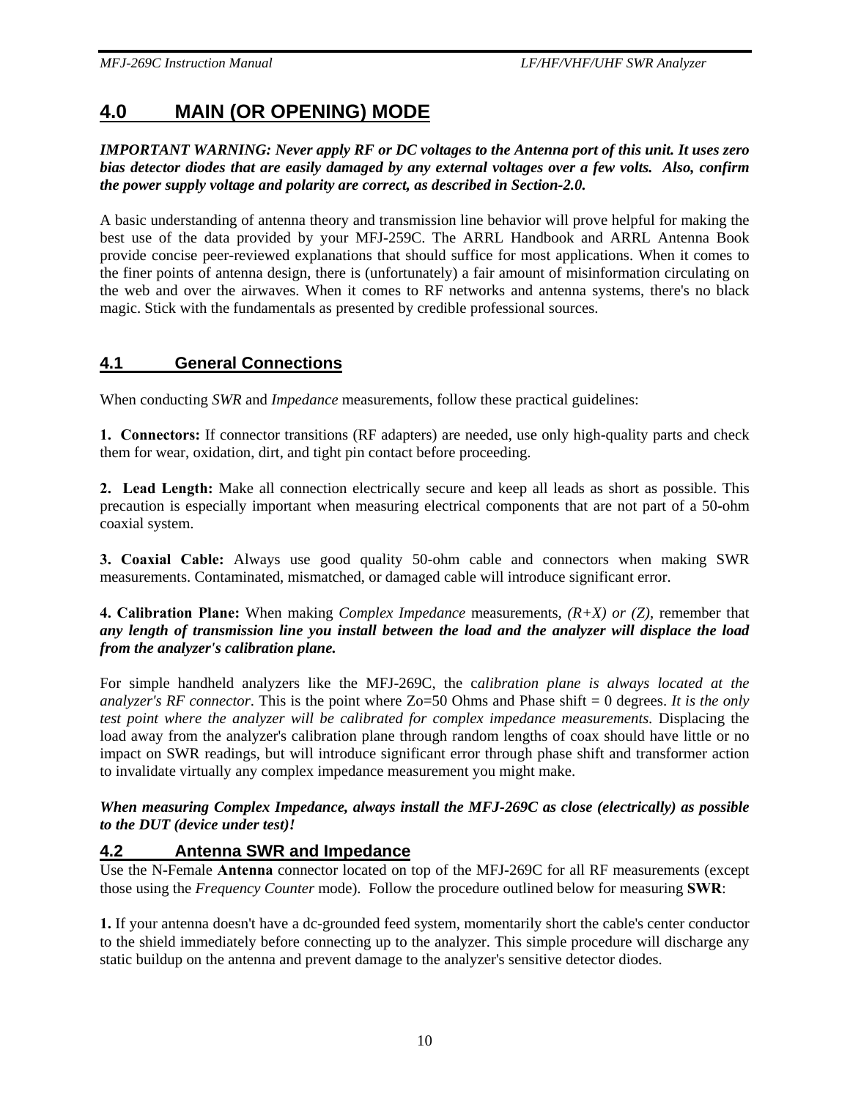# **4.0 MAIN (OR OPENING) MODE**

#### *IMPORTANT WARNING: Never apply RF or DC voltages to the Antenna port of this unit. It uses zero bias detector diodes that are easily damaged by any external voltages over a few volts. Also, confirm the power supply voltage and polarity are correct, as described in Section-2.0.*

A basic understanding of antenna theory and transmission line behavior will prove helpful for making the best use of the data provided by your MFJ-259C. The ARRL Handbook and ARRL Antenna Book provide concise peer-reviewed explanations that should suffice for most applications. When it comes to the finer points of antenna design, there is (unfortunately) a fair amount of misinformation circulating on the web and over the airwaves. When it comes to RF networks and antenna systems, there's no black magic. Stick with the fundamentals as presented by credible professional sources.

## **4.1 General Connections**

When conducting *SWR* and *Impedance* measurements, follow these practical guidelines:

**1. Connectors:** If connector transitions (RF adapters) are needed, use only high-quality parts and check them for wear, oxidation, dirt, and tight pin contact before proceeding.

**2. Lead Length:** Make all connection electrically secure and keep all leads as short as possible. This precaution is especially important when measuring electrical components that are not part of a 50-ohm coaxial system.

**3. Coaxial Cable:** Always use good quality 50-ohm cable and connectors when making SWR measurements. Contaminated, mismatched, or damaged cable will introduce significant error.

#### **4. Calibration Plane:** When making *Complex Impedance* measurements, *(R+X) or (Z)*, remember that *any length of transmission line you install between the load and the analyzer will displace the load from the analyzer's calibration plane.*

For simple handheld analyzers like the MFJ-269C, the c*alibration plane is always located at the analyzer's RF connector*. This is the point where Zo=50 Ohms and Phase shift = 0 degrees. *It is the only test point where the analyzer will be calibrated for complex impedance measurements.* Displacing the load away from the analyzer's calibration plane through random lengths of coax should have little or no impact on SWR readings, but will introduce significant error through phase shift and transformer action to invalidate virtually any complex impedance measurement you might make.

#### *When measuring Complex Impedance, always install the MFJ-269C as close (electrically) as possible to the DUT (device under test)!*

#### **4.2 Antenna SWR and Impedance**

Use the N-Female **Antenna** connector located on top of the MFJ-269C for all RF measurements (except those using the *Frequency Counter* mode). Follow the procedure outlined below for measuring **SWR**:

**1.** If your antenna doesn't have a dc-grounded feed system, momentarily short the cable's center conductor to the shield immediately before connecting up to the analyzer. This simple procedure will discharge any static buildup on the antenna and prevent damage to the analyzer's sensitive detector diodes.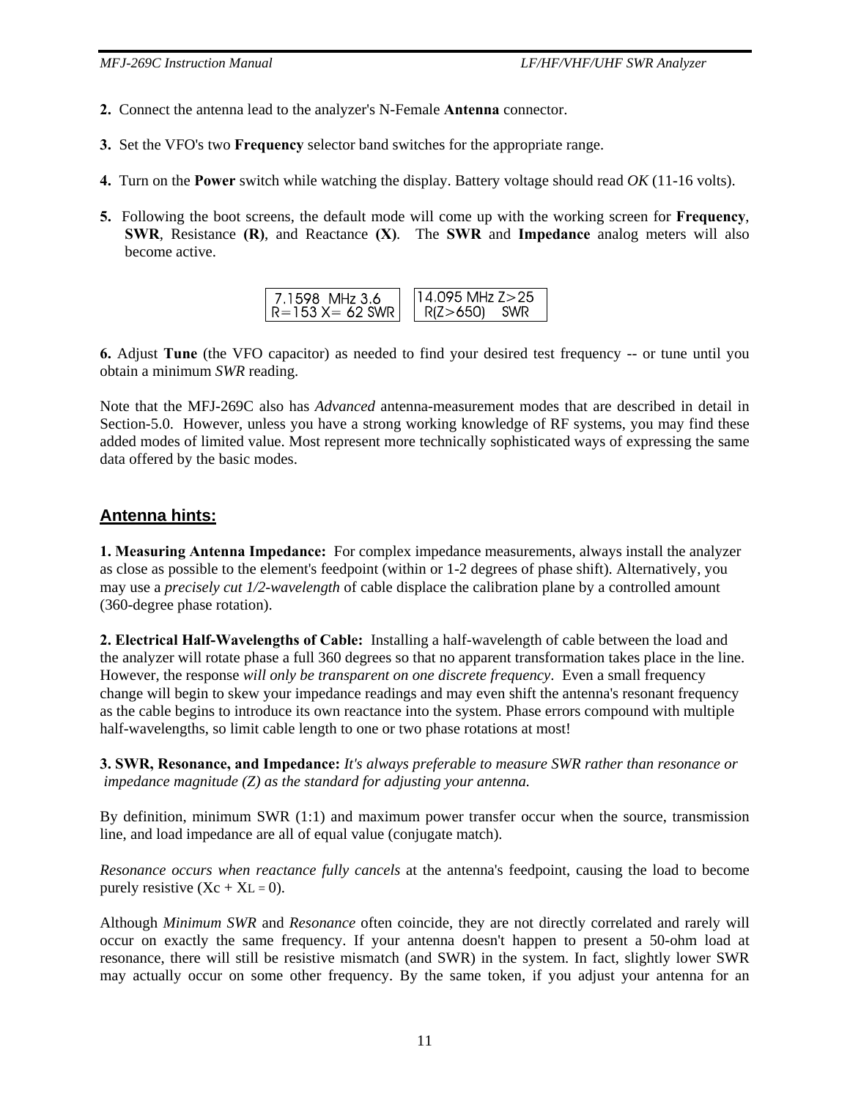- **2.** Connect the antenna lead to the analyzer's N-Female **Antenna** connector.
- **3.** Set the VFO's two **Frequency** selector band switches for the appropriate range.
- **4.** Turn on the **Power** switch while watching the display. Battery voltage should read *OK* (11-16 volts).
- **5.** Following the boot screens, the default mode will come up with the working screen for **Frequency**, **SWR**, Resistance **(R)**, and Reactance **(X)***.* The **SWR** and **Impedance** analog meters will also become active.

**6.** Adjust **Tune** (the VFO capacitor) as needed to find your desired test frequency -- or tune until you obtain a minimum *SWR* reading.

Note that the MFJ-269C also has *Advanced* antenna-measurement modes that are described in detail in Section-5.0.However, unless you have a strong working knowledge of RF systems, you may find these added modes of limited value. Most represent more technically sophisticated ways of expressing the same data offered by the basic modes.

## **Antenna hints:**

**1. Measuring Antenna Impedance:** For complex impedance measurements, always install the analyzer as close as possible to the element's feedpoint (within or 1-2 degrees of phase shift). Alternatively, you may use a *precisely cut 1/2-wavelength* of cable displace the calibration plane by a controlled amount (360-degree phase rotation).

**2. Electrical Half-Wavelengths of Cable:** Installing a half-wavelength of cable between the load and the analyzer will rotate phase a full 360 degrees so that no apparent transformation takes place in the line. However, the response *will only be transparent on one discrete frequency*. Even a small frequency change will begin to skew your impedance readings and may even shift the antenna's resonant frequency as the cable begins to introduce its own reactance into the system. Phase errors compound with multiple half-wavelengths, so limit cable length to one or two phase rotations at most!

**3. SWR, Resonance, and Impedance:** *It's always preferable to measure SWR rather than resonance or impedance magnitude (Z) as the standard for adjusting your antenna.* 

By definition, minimum SWR (1:1) and maximum power transfer occur when the source, transmission line, and load impedance are all of equal value (conjugate match).

*Resonance occurs when reactance fully cancels* at the antenna's feedpoint, causing the load to become purely resistive  $(Xc + XL = 0)$ .

Although *Minimum SWR* and *Resonance* often coincide, they are not directly correlated and rarely will occur on exactly the same frequency. If your antenna doesn't happen to present a 50-ohm load at resonance, there will still be resistive mismatch (and SWR) in the system. In fact, slightly lower SWR may actually occur on some other frequency. By the same token, if you adjust your antenna for an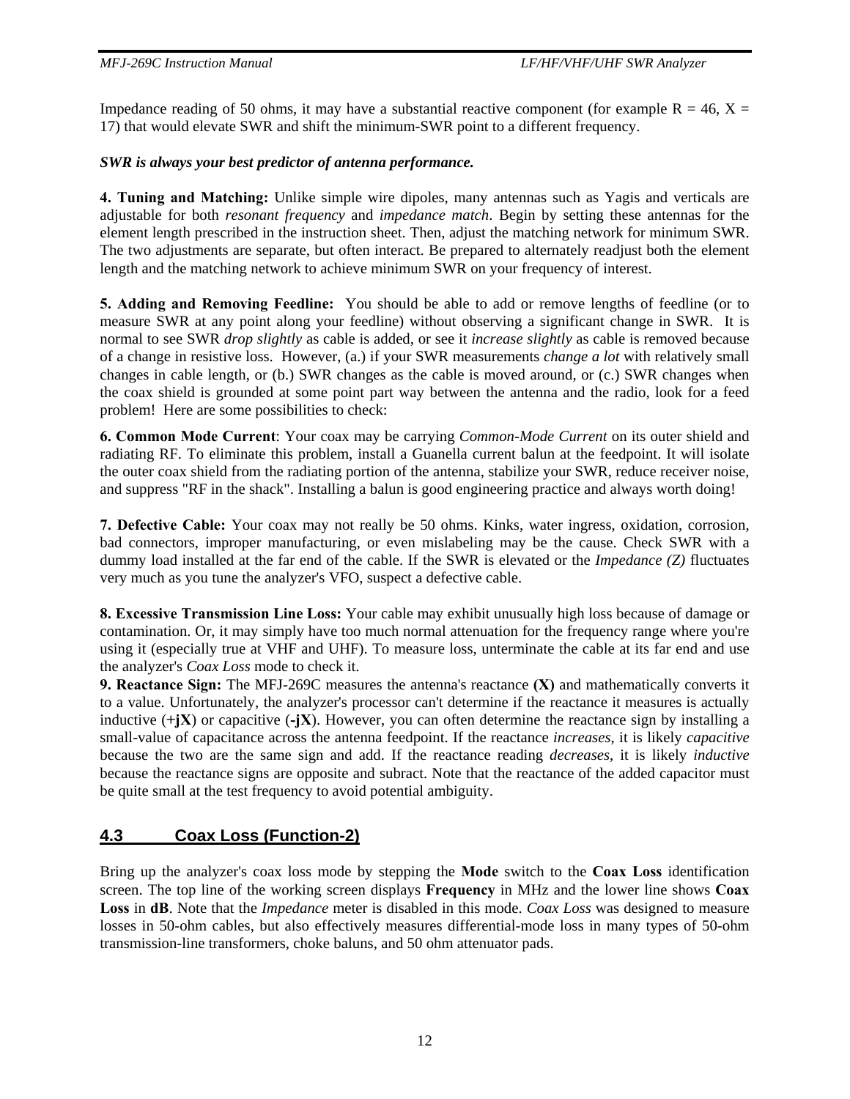Impedance reading of 50 ohms, it may have a substantial reactive component (for example  $R = 46$ ,  $X =$ 17) that would elevate SWR and shift the minimum-SWR point to a different frequency.

#### *SWR is always your best predictor of antenna performance.*

**4. Tuning and Matching:** Unlike simple wire dipoles, many antennas such as Yagis and verticals are adjustable for both *resonant frequency* and *impedance match*. Begin by setting these antennas for the element length prescribed in the instruction sheet. Then, adjust the matching network for minimum SWR. The two adjustments are separate, but often interact. Be prepared to alternately readjust both the element length and the matching network to achieve minimum SWR on your frequency of interest.

**5. Adding and Removing Feedline:** You should be able to add or remove lengths of feedline (or to measure SWR at any point along your feedline) without observing a significant change in SWR. It is normal to see SWR *drop slightly* as cable is added, or see it *increase slightly* as cable is removed because of a change in resistive loss. However, (a.) if your SWR measurements *change a lot* with relatively small changes in cable length, or (b.) SWR changes as the cable is moved around, or (c.) SWR changes when the coax shield is grounded at some point part way between the antenna and the radio, look for a feed problem! Here are some possibilities to check:

**6. Common Mode Current**: Your coax may be carrying *Common-Mode Current* on its outer shield and radiating RF. To eliminate this problem, install a Guanella current balun at the feedpoint. It will isolate the outer coax shield from the radiating portion of the antenna, stabilize your SWR, reduce receiver noise, and suppress "RF in the shack". Installing a balun is good engineering practice and always worth doing!

**7. Defective Cable:** Your coax may not really be 50 ohms. Kinks, water ingress, oxidation, corrosion, bad connectors, improper manufacturing, or even mislabeling may be the cause. Check SWR with a dummy load installed at the far end of the cable. If the SWR is elevated or the *Impedance (Z)* fluctuates very much as you tune the analyzer's VFO, suspect a defective cable.

**8. Excessive Transmission Line Loss:** Your cable may exhibit unusually high loss because of damage or contamination. Or, it may simply have too much normal attenuation for the frequency range where you're using it (especially true at VHF and UHF). To measure loss, unterminate the cable at its far end and use the analyzer's *Coax Loss* mode to check it.

**9. Reactance Sign:** The MFJ-269C measures the antenna's reactance **(X)** and mathematically converts it to a value. Unfortunately, the analyzer's processor can't determine if the reactance it measures is actually inductive  $(+\mathbf{i}X)$  or capacitive  $(-\mathbf{i}X)$ . However, you can often determine the reactance sign by installing a small-value of capacitance across the antenna feedpoint. If the reactance *increases*, it is likely *capacitive* because the two are the same sign and add. If the reactance reading *decreases*, it is likely *inductive* because the reactance signs are opposite and subract. Note that the reactance of the added capacitor must be quite small at the test frequency to avoid potential ambiguity.

## **4.3 Coax Loss (Function-2)**

Bring up the analyzer's coax loss mode by stepping the **Mode** switch to the **Coax Loss** identification screen. The top line of the working screen displays **Frequency** in MHz and the lower line shows **Coax Loss** in **dB**. Note that the *Impedance* meter is disabled in this mode. *Coax Loss* was designed to measure losses in 50-ohm cables, but also effectively measures differential-mode loss in many types of 50-ohm transmission-line transformers, choke baluns, and 50 ohm attenuator pads.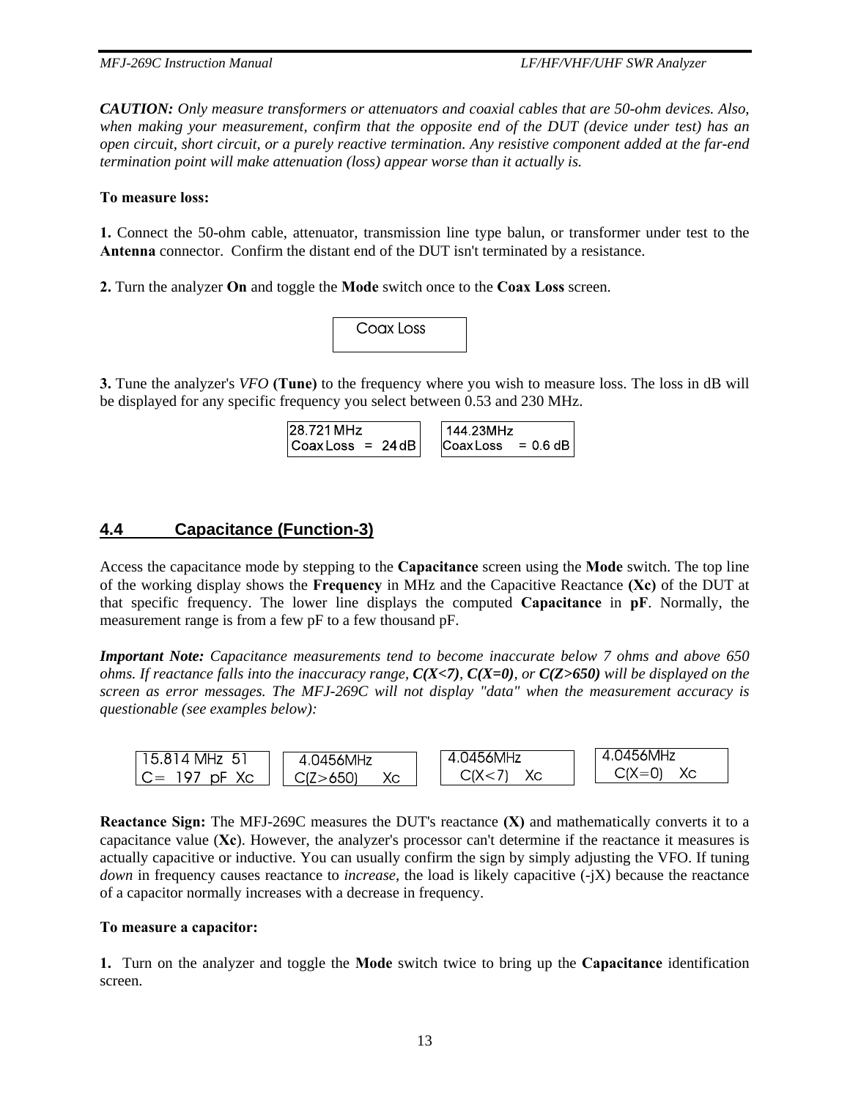*CAUTION: Only measure transformers or attenuators and coaxial cables that are 50-ohm devices. Also, when making your measurement, confirm that the opposite end of the DUT (device under test) has an open circuit, short circuit, or a purely reactive termination. Any resistive component added at the far-end termination point will make attenuation (loss) appear worse than it actually is.* 

#### **To measure loss:**

**1.** Connect the 50-ohm cable, attenuator, transmission line type balun, or transformer under test to the **Antenna** connector. Confirm the distant end of the DUT isn't terminated by a resistance.

**2.** Turn the analyzer **On** and toggle the **Mode** switch once to the **Coax Loss** screen.



**3.** Tune the analyzer's *VFO* **(Tune)** to the frequency where you wish to measure loss. The loss in dB will be displayed for any specific frequency you select between 0.53 and 230 MHz.

| 28.721 MHz          | 144.23MHz        |            |
|---------------------|------------------|------------|
| $ CoaxLoss  = 24dB$ | <b>Coax Loss</b> | $= 0.6$ dB |

## **4.4 Capacitance (Function-3)**

Access the capacitance mode by stepping to the **Capacitance** screen using the **Mode** switch. The top line of the working display shows the **Frequency** in MHz and the Capacitive Reactance **(Xc)** of the DUT at that specific frequency. The lower line displays the computed **Capacitance** in **pF**. Normally, the measurement range is from a few pF to a few thousand pF.

*Important Note: Capacitance measurements tend to become inaccurate below 7 ohms and above 650 ohms. If reactance falls into the inaccuracy range, C(X<7), C(X=0), or C(Z>650) will be displayed on the screen as error messages. The MFJ-269C will not display "data" when the measurement accuracy is questionable (see examples below):* 



**Reactance Sign:** The MFJ-269C measures the DUT's reactance **(X)** and mathematically converts it to a capacitance value (**Xc**). However, the analyzer's processor can't determine if the reactance it measures is actually capacitive or inductive. You can usually confirm the sign by simply adjusting the VFO. If tuning *down* in frequency causes reactance to *increase*, the load is likely capacitive (-jX) because the reactance of a capacitor normally increases with a decrease in frequency.

#### **To measure a capacitor:**

**1.** Turn on the analyzer and toggle the **Mode** switch twice to bring up the **Capacitance** identification screen.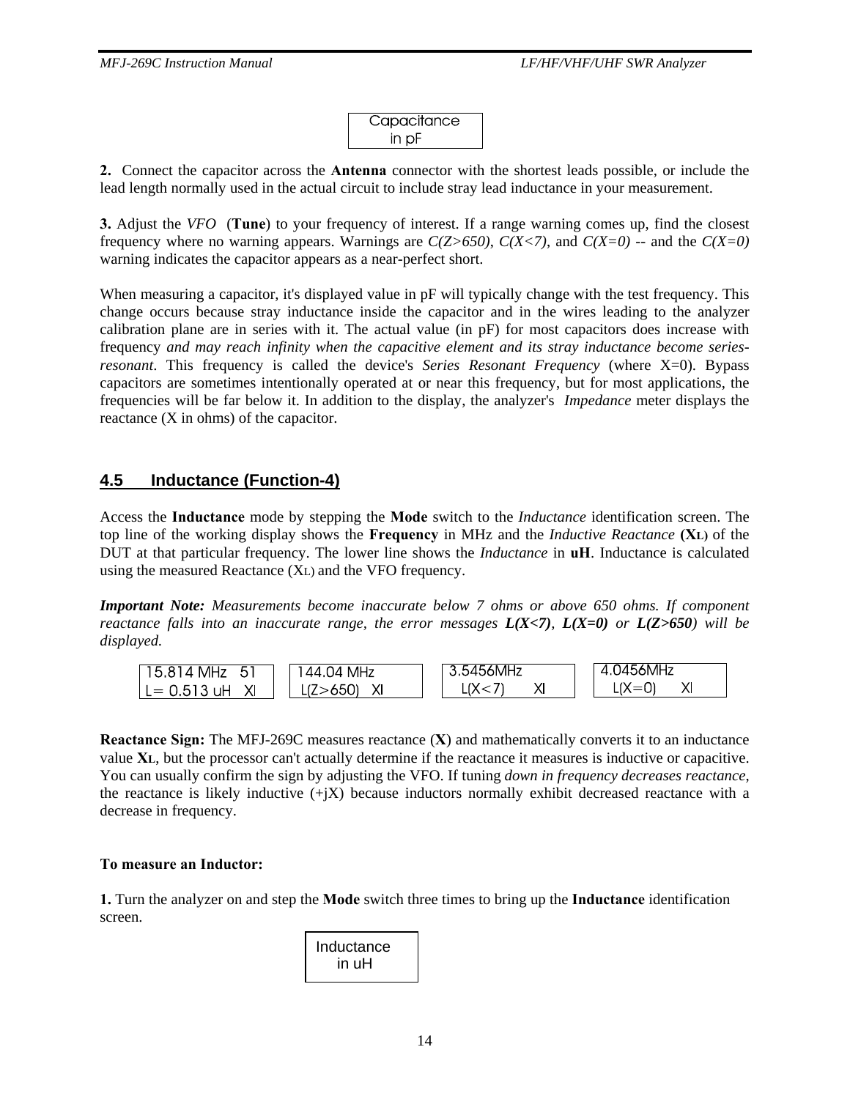| Capacitance |  |
|-------------|--|
| in pF       |  |

**2.** Connect the capacitor across the **Antenna** connector with the shortest leads possible, or include the lead length normally used in the actual circuit to include stray lead inductance in your measurement.

**3.** Adjust the *VFO* (**Tune**) to your frequency of interest. If a range warning comes up, find the closest frequency where no warning appears. Warnings are  $C(Z>650)$ ,  $C(X<7)$ , and  $C(X=0)$  -- and the  $C(X=0)$ warning indicates the capacitor appears as a near-perfect short.

When measuring a capacitor, it's displayed value in  $pF$  will typically change with the test frequency. This change occurs because stray inductance inside the capacitor and in the wires leading to the analyzer calibration plane are in series with it. The actual value (in pF) for most capacitors does increase with frequency *and may reach infinity when the capacitive element and its stray inductance become seriesresonant*. This frequency is called the device's *Series Resonant Frequency* (where X=0). Bypass capacitors are sometimes intentionally operated at or near this frequency, but for most applications, the frequencies will be far below it. In addition to the display, the analyzer's *Impedance* meter displays the reactance (X in ohms) of the capacitor.

## **4.5 Inductance (Function-4)**

Access the **Inductance** mode by stepping the **Mode** switch to the *Inductance* identification screen. The top line of the working display shows the **Frequency** in MHz and the *Inductive Reactance* **(XL)** of the DUT at that particular frequency. The lower line shows the *Inductance* in **uH**. Inductance is calculated using the measured Reactance (XL) and the VFO frequency.

*Important Note: Measurements become inaccurate below 7 ohms or above 650 ohms. If component reactance falls into an inaccurate range, the error messages*  $L(X<sub>7</sub>)$ *,*  $L(X=0)$  *or*  $L(Z>650)$  *will be displayed.* 



**Reactance Sign:** The MFJ-269C measures reactance (**X**) and mathematically converts it to an inductance value **XL**, but the processor can't actually determine if the reactance it measures is inductive or capacitive. You can usually confirm the sign by adjusting the VFO. If tuning *down in frequency decreases reactance*, the reactance is likely inductive  $(+iX)$  because inductors normally exhibit decreased reactance with a decrease in frequency.

#### **To measure an Inductor:**

**1.** Turn the analyzer on and step the **Mode** switch three times to bring up the **Inductance** identification screen.

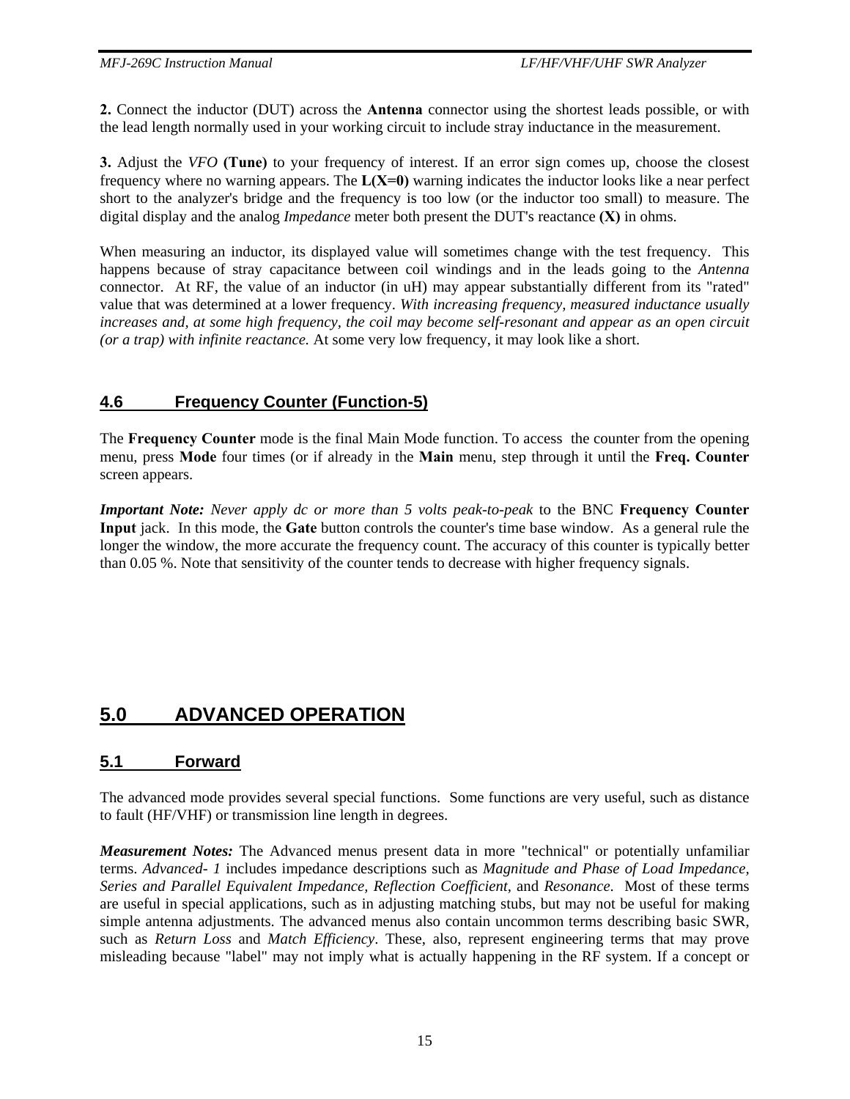**2.** Connect the inductor (DUT) across the **Antenna** connector using the shortest leads possible, or with the lead length normally used in your working circuit to include stray inductance in the measurement.

**3.** Adjust the *VFO* **(Tune)** to your frequency of interest. If an error sign comes up, choose the closest frequency where no warning appears. The  $L(X=0)$  warning indicates the inductor looks like a near perfect short to the analyzer's bridge and the frequency is too low (or the inductor too small) to measure. The digital display and the analog *Impedance* meter both present the DUT's reactance **(X)** in ohms.

When measuring an inductor, its displayed value will sometimes change with the test frequency. This happens because of stray capacitance between coil windings and in the leads going to the *Antenna*  connector. At RF, the value of an inductor (in uH) may appear substantially different from its "rated" value that was determined at a lower frequency. *With increasing frequency, measured inductance usually increases and, at some high frequency, the coil may become self-resonant and appear as an open circuit (or a trap) with infinite reactance.* At some very low frequency, it may look like a short.

## **4.6 Frequency Counter (Function-5)**

The **Frequency Counter** mode is the final Main Mode function. To access the counter from the opening menu, press **Mode** four times (or if already in the **Main** menu, step through it until the **Freq. Counter**  screen appears.

*Important Note: Never apply dc or more than 5 volts peak-to-peak* to the BNC **Frequency Counter Input** jack. In this mode, the **Gate** button controls the counter's time base window. As a general rule the longer the window, the more accurate the frequency count. The accuracy of this counter is typically better than 0.05 %. Note that sensitivity of the counter tends to decrease with higher frequency signals.

# **5.0 ADVANCED OPERATION**

# **5.1 Forward**

The advanced mode provides several special functions. Some functions are very useful, such as distance to fault (HF/VHF) or transmission line length in degrees.

*Measurement Notes:* The Advanced menus present data in more "technical" or potentially unfamiliar terms. *Advanced- 1* includes impedance descriptions such as *Magnitude and Phase of Load Impedance, Series and Parallel Equivalent Impedance, Reflection Coefficient,* and *Resonance*. Most of these terms are useful in special applications, such as in adjusting matching stubs, but may not be useful for making simple antenna adjustments. The advanced menus also contain uncommon terms describing basic SWR, such as *Return Loss* and *Match Efficiency*. These, also, represent engineering terms that may prove misleading because "label" may not imply what is actually happening in the RF system. If a concept or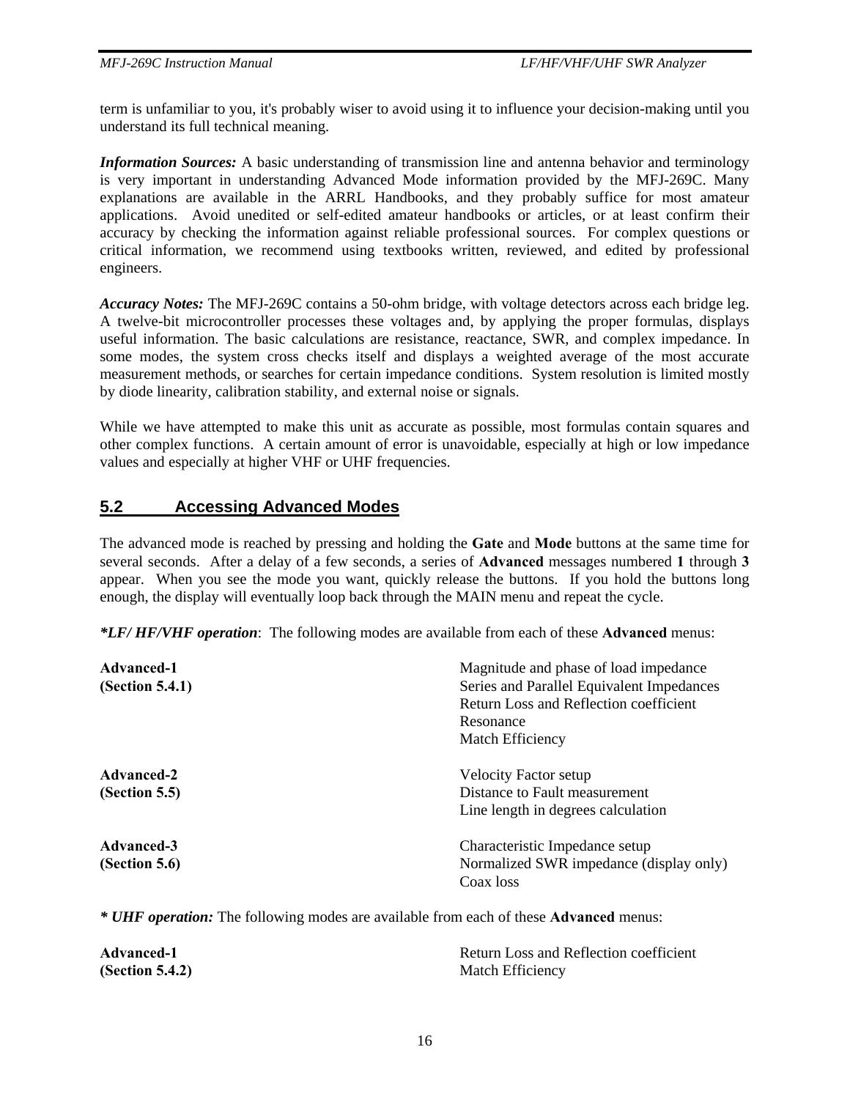term is unfamiliar to you, it's probably wiser to avoid using it to influence your decision-making until you understand its full technical meaning.

*Information Sources:* A basic understanding of transmission line and antenna behavior and terminology is very important in understanding Advanced Mode information provided by the MFJ-269C. Many explanations are available in the ARRL Handbooks, and they probably suffice for most amateur applications. Avoid unedited or self-edited amateur handbooks or articles, or at least confirm their accuracy by checking the information against reliable professional sources. For complex questions or critical information, we recommend using textbooks written, reviewed, and edited by professional engineers.

*Accuracy Notes:* The MFJ-269C contains a 50-ohm bridge, with voltage detectors across each bridge leg. A twelve-bit microcontroller processes these voltages and, by applying the proper formulas, displays useful information. The basic calculations are resistance, reactance, SWR, and complex impedance. In some modes, the system cross checks itself and displays a weighted average of the most accurate measurement methods, or searches for certain impedance conditions. System resolution is limited mostly by diode linearity, calibration stability, and external noise or signals.

While we have attempted to make this unit as accurate as possible, most formulas contain squares and other complex functions. A certain amount of error is unavoidable, especially at high or low impedance values and especially at higher VHF or UHF frequencies.

## **5.2 Accessing Advanced Modes**

The advanced mode is reached by pressing and holding the **Gate** and **Mode** buttons at the same time for several seconds. After a delay of a few seconds, a series of **Advanced** messages numbered **1** through **3** appear. When you see the mode you want, quickly release the buttons. If you hold the buttons long enough, the display will eventually loop back through the MAIN menu and repeat the cycle.

*\*LF/ HF/VHF operation*: The following modes are available from each of these **Advanced** menus:

| Advanced-1      | Magnitude and phase of load impedance     |
|-----------------|-------------------------------------------|
| (Section 5.4.1) | Series and Parallel Equivalent Impedances |
|                 | Return Loss and Reflection coefficient    |
|                 | Resonance                                 |
|                 | Match Efficiency                          |
| Advanced-2      | <b>Velocity Factor setup</b>              |
| (Section 5.5)   | Distance to Fault measurement             |
|                 | Line length in degrees calculation        |
| Advanced-3      | Characteristic Impedance setup            |
| (Section 5.6)   | Normalized SWR impedance (display only)   |
|                 | Coax loss                                 |

*\* UHF operation:* The following modes are available from each of these **Advanced** menus:

| <b>Advanced-1</b> | Return Loss and Reflection coefficient |
|-------------------|----------------------------------------|
| (Section 5.4.2)   | Match Efficiency                       |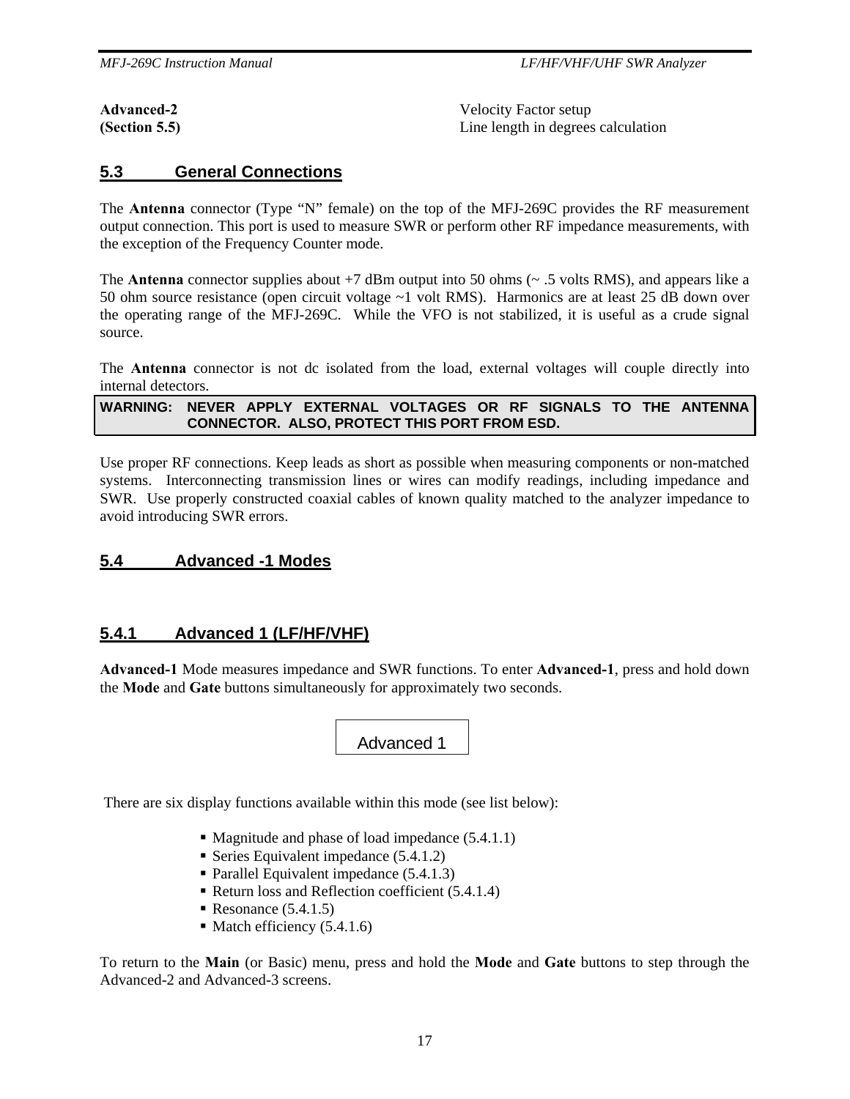**Advanced-2** Velocity Factor setup **(Section 5.5) Line length in degrees calculation** 

## **5.3 General Connections**

The **Antenna** connector (Type "N" female) on the top of the MFJ-269C provides the RF measurement output connection. This port is used to measure SWR or perform other RF impedance measurements, with the exception of the Frequency Counter mode.

The **Antenna** connector supplies about  $+7$  dBm output into 50 ohms ( $\sim$  .5 volts RMS), and appears like a 50 ohm source resistance (open circuit voltage ~1 volt RMS). Harmonics are at least 25 dB down over the operating range of the MFJ-269C. While the VFO is not stabilized, it is useful as a crude signal source.

The **Antenna** connector is not dc isolated from the load, external voltages will couple directly into internal detectors.

#### **WARNING: NEVER APPLY EXTERNAL VOLTAGES OR RF SIGNALS TO THE ANTENNA CONNECTOR. ALSO, PROTECT THIS PORT FROM ESD.**

Use proper RF connections. Keep leads as short as possible when measuring components or non-matched systems. Interconnecting transmission lines or wires can modify readings, including impedance and SWR. Use properly constructed coaxial cables of known quality matched to the analyzer impedance to avoid introducing SWR errors.

## **5.4 Advanced -1 Modes**

## **5.4.1 Advanced 1 (LF/HF/VHF)**

**Advanced-1** Mode measures impedance and SWR functions. To enter **Advanced-1**, press and hold down the **Mode** and **Gate** buttons simultaneously for approximately two seconds.

Advanced 1

There are six display functions available within this mode (see list below):

- $\blacksquare$  Magnitude and phase of load impedance (5.4.1.1)
- Series Equivalent impedance  $(5.4.1.2)$
- Parallel Equivalent impedance  $(5.4.1.3)$
- Return loss and Reflection coefficient  $(5.4.1.4)$
- Resonance  $(5.4.1.5)$
- $\blacksquare$  Match efficiency (5.4.1.6)

To return to the **Main** (or Basic) menu, press and hold the **Mode** and **Gate** buttons to step through the Advanced-2 and Advanced-3 screens.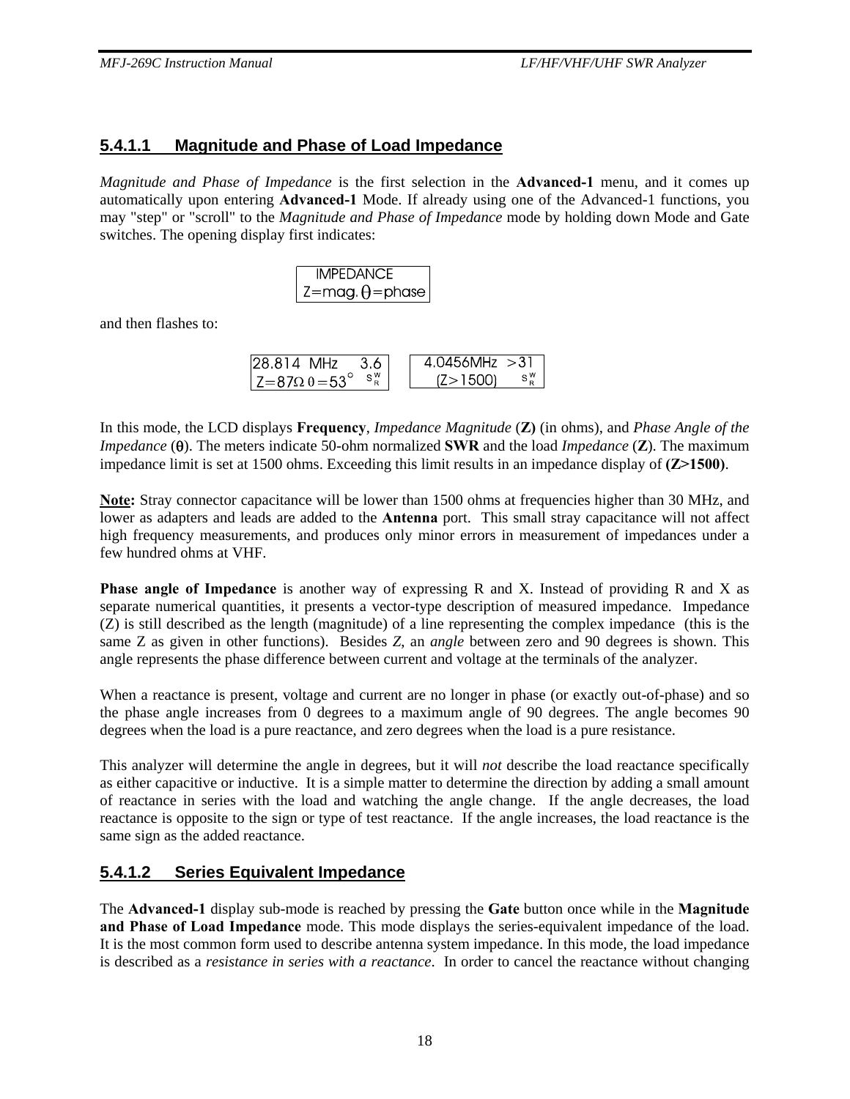## **5.4.1.1 Magnitude and Phase of Load Impedance**

*Magnitude and Phase of Impedance* is the first selection in the **Advanced-1** menu, and it comes up automatically upon entering **Advanced-1** Mode. If already using one of the Advanced-1 functions, you may "step" or "scroll" to the *Magnitude and Phase of Impedance* mode by holding down Mode and Gate switches. The opening display first indicates:

| <b>IMPEDANCE</b>                             |
|----------------------------------------------|
| $^{\shortmid}$ Z=mag. $\theta$ =phase $\mid$ |

and then flashes to:

| 128.814 MHz<br>-3.6               | $4.0456$ MHz $>31$ |
|-----------------------------------|--------------------|
| $ Z=87\Omega \theta = 53^{\circ}$ | 7>1500)            |

In this mode, the LCD displays **Frequency**, *Impedance Magnitude* (**Z)** (in ohms), and *Phase Angle of the Impedance* (θ). The meters indicate 50-ohm normalized **SWR** and the load *Impedance* (**Z**). The maximum impedance limit is set at 1500 ohms. Exceeding this limit results in an impedance display of **(Z>1500)**.

**Note:** Stray connector capacitance will be lower than 1500 ohms at frequencies higher than 30 MHz, and lower as adapters and leads are added to the **Antenna** port. This small stray capacitance will not affect high frequency measurements, and produces only minor errors in measurement of impedances under a few hundred ohms at VHF.

**Phase angle of Impedance** is another way of expressing R and X. Instead of providing R and X as separate numerical quantities, it presents a vector-type description of measured impedance. Impedance (Z) is still described as the length (magnitude) of a line representing the complex impedance (this is the same Z as given in other functions). Besides *Z*, an *angle* between zero and 90 degrees is shown. This angle represents the phase difference between current and voltage at the terminals of the analyzer.

When a reactance is present, voltage and current are no longer in phase (or exactly out-of-phase) and so the phase angle increases from 0 degrees to a maximum angle of 90 degrees. The angle becomes 90 degrees when the load is a pure reactance, and zero degrees when the load is a pure resistance.

This analyzer will determine the angle in degrees, but it will *not* describe the load reactance specifically as either capacitive or inductive. It is a simple matter to determine the direction by adding a small amount of reactance in series with the load and watching the angle change. If the angle decreases, the load reactance is opposite to the sign or type of test reactance. If the angle increases, the load reactance is the same sign as the added reactance.

## **5.4.1.2 Series Equivalent Impedance**

The **Advanced-1** display sub-mode is reached by pressing the **Gate** button once while in the **Magnitude and Phase of Load Impedance** mode. This mode displays the series-equivalent impedance of the load. It is the most common form used to describe antenna system impedance. In this mode, the load impedance is described as a *resistance in series with a reactance*. In order to cancel the reactance without changing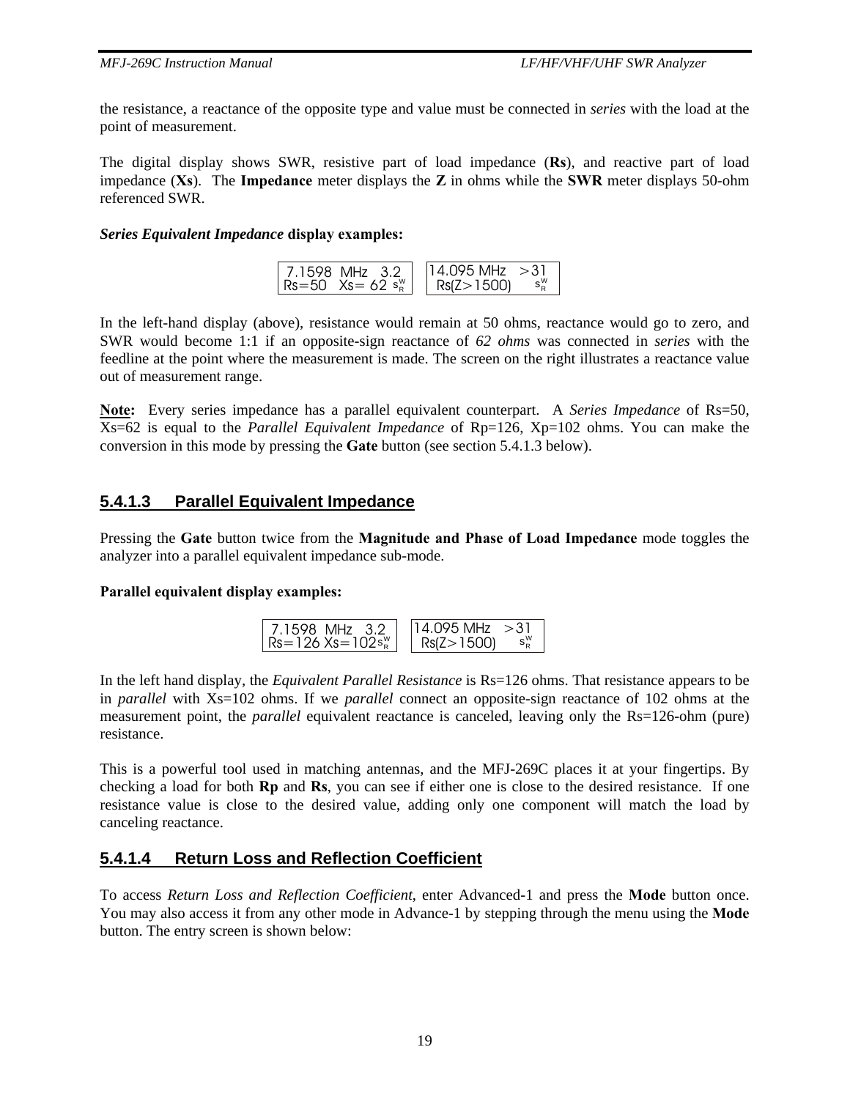the resistance, a reactance of the opposite type and value must be connected in *series* with the load at the point of measurement.

The digital display shows SWR, resistive part of load impedance (**Rs**), and reactive part of load impedance (**Xs**). The **Impedance** meter displays the **Z** in ohms while the **SWR** meter displays 50-ohm referenced SWR.

#### *Series Equivalent Impedance* **display examples:**

| 7.1598 MHz 3.2            | $14.095$ MHz $>31$ |
|---------------------------|--------------------|
| $\sqrt{8} = 50$ Xs = 62 s | ∣ Rs(Z>1500)       |

In the left-hand display (above), resistance would remain at 50 ohms, reactance would go to zero, and SWR would become 1:1 if an opposite-sign reactance of *62 ohms* was connected in *series* with the feedline at the point where the measurement is made. The screen on the right illustrates a reactance value out of measurement range.

**Note:** Every series impedance has a parallel equivalent counterpart. A *Series Impedance* of Rs=50, Xs=62 is equal to the *Parallel Equivalent Impedance* of Rp=126, Xp=102 ohms. You can make the conversion in this mode by pressing the **Gate** button (see section 5.4.1.3 below).

## **5.4.1.3 Parallel Equivalent Impedance**

Pressing the **Gate** button twice from the **Magnitude and Phase of Load Impedance** mode toggles the analyzer into a parallel equivalent impedance sub-mode.

#### **Parallel equivalent display examples:**



In the left hand display, the *Equivalent Parallel Resistance* is Rs=126 ohms. That resistance appears to be in *parallel* with Xs=102 ohms. If we *parallel* connect an opposite-sign reactance of 102 ohms at the measurement point, the *parallel* equivalent reactance is canceled, leaving only the Rs=126-ohm (pure) resistance.

This is a powerful tool used in matching antennas, and the MFJ-269C places it at your fingertips. By checking a load for both **Rp** and **Rs**, you can see if either one is close to the desired resistance. If one resistance value is close to the desired value, adding only one component will match the load by canceling reactance.

## **5.4.1.4 Return Loss and Reflection Coefficient**

To access *Return Loss and Reflection Coefficient*, enter Advanced-1 and press the **Mode** button once. You may also access it from any other mode in Advance-1 by stepping through the menu using the **Mode**  button. The entry screen is shown below: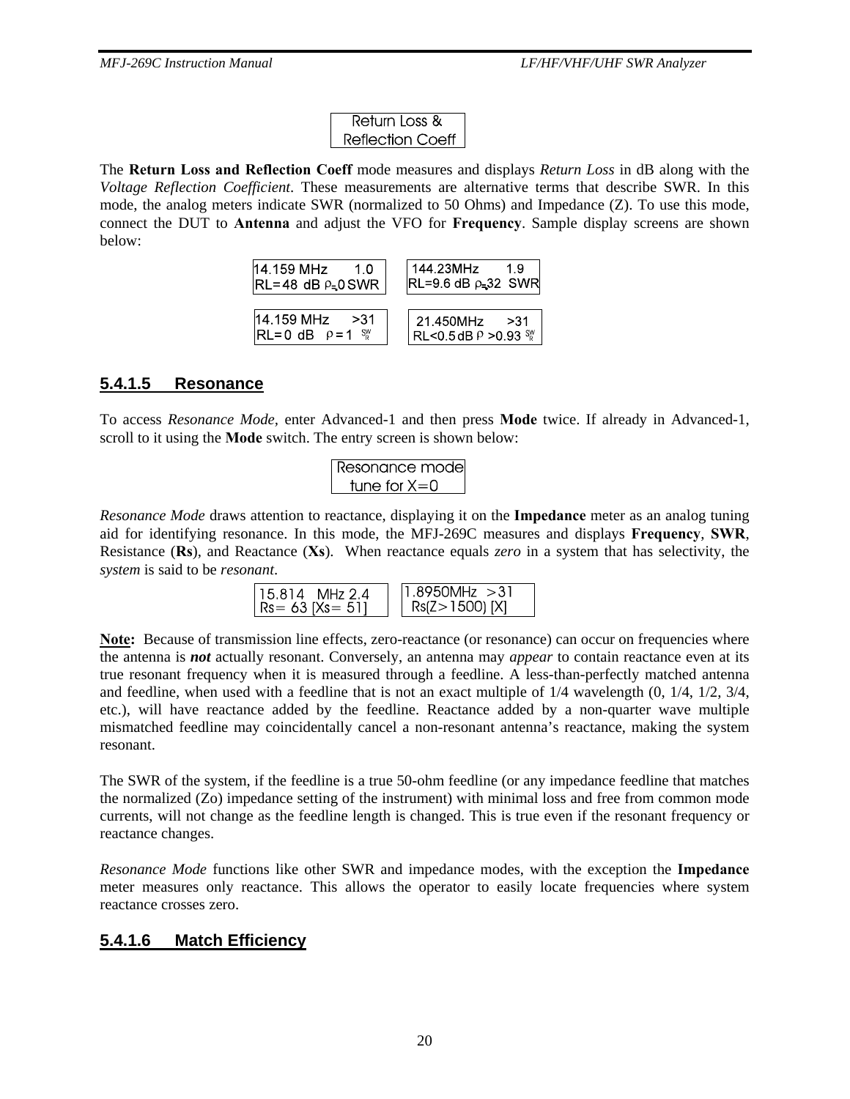| Return Loss &    |
|------------------|
| Reflection Coeff |

The **Return Loss and Reflection Coeff** mode measures and displays *Return Loss* in dB along with the *Voltage Reflection Coefficient*. These measurements are alternative terms that describe SWR. In this mode, the analog meters indicate SWR (normalized to 50 Ohms) and Impedance (Z). To use this mode, connect the DUT to **Antenna** and adjust the VFO for **Frequency**. Sample display screens are shown below:



## **5.4.1.5 Resonance**

To access *Resonance Mode,* enter Advanced-1 and then press **Mode** twice. If already in Advanced-1, scroll to it using the **Mode** switch. The entry screen is shown below:

$$
\begin{array}{c}\n\text{Resonance mode} \\
\text{tune for X=0}\n\end{array}
$$

*Resonance Mode* draws attention to reactance, displaying it on the **Impedance** meter as an analog tuning aid for identifying resonance. In this mode, the MFJ-269C measures and displays **Frequency**, **SWR**, Resistance (**Rs**), and Reactance (**Xs**). When reactance equals *zero* in a system that has selectivity, the *system* is said to be *resonant*.

| 115.814 MHz 2.4    | $1.8950$ MHz $>31$ |
|--------------------|--------------------|
| $R = 63$ [Xs = 51] | $Rs(Z > 1500)$ [X] |

Note: Because of transmission line effects, zero-reactance (or resonance) can occur on frequencies where the antenna is *not* actually resonant. Conversely, an antenna may *appear* to contain reactance even at its true resonant frequency when it is measured through a feedline. A less-than-perfectly matched antenna and feedline, when used with a feedline that is not an exact multiple of 1/4 wavelength (0, 1/4, 1/2, 3/4, etc.), will have reactance added by the feedline. Reactance added by a non-quarter wave multiple mismatched feedline may coincidentally cancel a non-resonant antenna's reactance, making the system resonant.

The SWR of the system, if the feedline is a true 50-ohm feedline (or any impedance feedline that matches the normalized (Zo) impedance setting of the instrument) with minimal loss and free from common mode currents, will not change as the feedline length is changed. This is true even if the resonant frequency or reactance changes.

*Resonance Mode* functions like other SWR and impedance modes, with the exception the **Impedance**  meter measures only reactance. This allows the operator to easily locate frequencies where system reactance crosses zero.

## **5.4.1.6 Match Efficiency**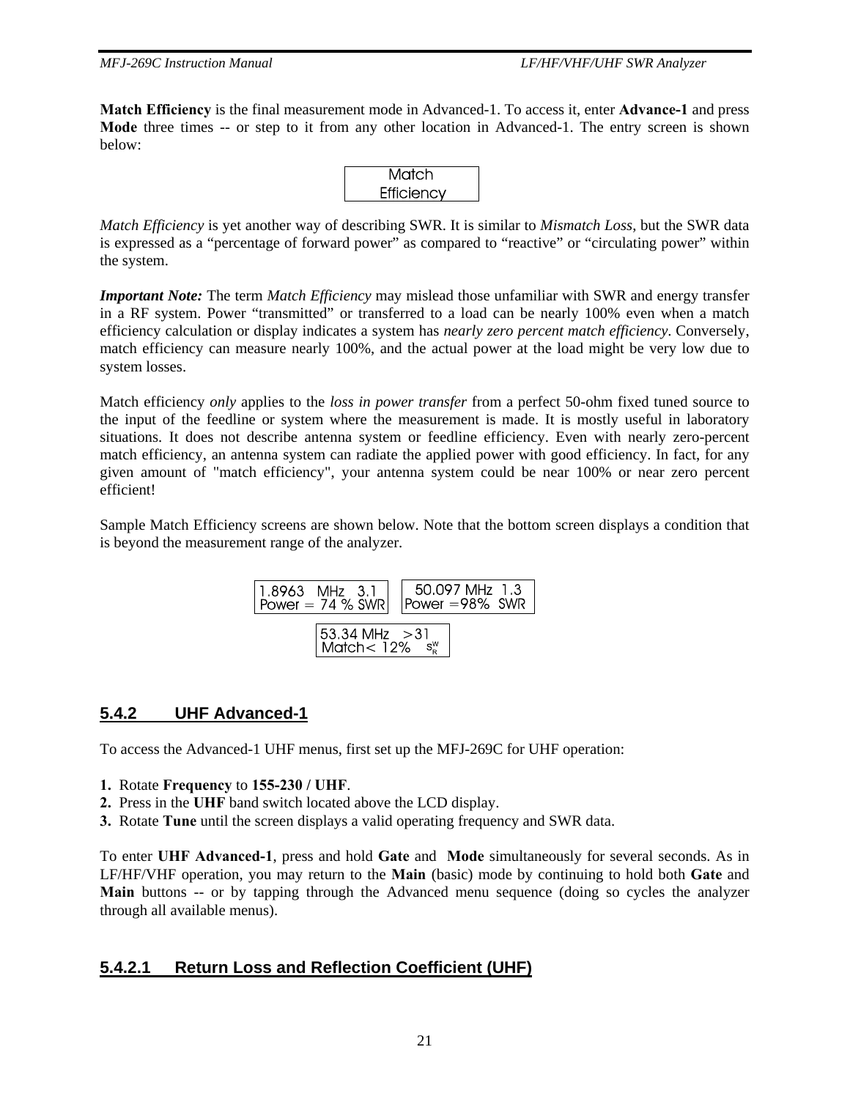**Match Efficiency** is the final measurement mode in Advanced-1. To access it, enter **Advance-1** and press **Mode** three times -- or step to it from any other location in Advanced-1. The entry screen is shown below:



*Match Efficiency* is yet another way of describing SWR. It is similar to *Mismatch Loss*, but the SWR data is expressed as a "percentage of forward power" as compared to "reactive" or "circulating power" within the system.

*Important Note:* The term *Match Efficiency* may mislead those unfamiliar with SWR and energy transfer in a RF system. Power "transmitted" or transferred to a load can be nearly 100% even when a match efficiency calculation or display indicates a system has *nearly zero percent match efficiency*. Conversely, match efficiency can measure nearly 100%, and the actual power at the load might be very low due to system losses.

Match efficiency *only* applies to the *loss in power transfer* from a perfect 50-ohm fixed tuned source to the input of the feedline or system where the measurement is made. It is mostly useful in laboratory situations. It does not describe antenna system or feedline efficiency. Even with nearly zero-percent match efficiency, an antenna system can radiate the applied power with good efficiency. In fact, for any given amount of "match efficiency", your antenna system could be near 100% or near zero percent efficient!

Sample Match Efficiency screens are shown below. Note that the bottom screen displays a condition that is beyond the measurement range of the analyzer.



## **5.4.2 UHF Advanced-1**

To access the Advanced-1 UHF menus, first set up the MFJ-269C for UHF operation:

- **1.** Rotate **Frequency** to **155-230 / UHF**.
- **2.** Press in the **UHF** band switch located above the LCD display.
- **3.** Rotate **Tune** until the screen displays a valid operating frequency and SWR data.

To enter **UHF Advanced-1**, press and hold **Gate** and **Mode** simultaneously for several seconds. As in LF/HF/VHF operation, you may return to the **Main** (basic) mode by continuing to hold both **Gate** and **Main** buttons -- or by tapping through the Advanced menu sequence (doing so cycles the analyzer through all available menus).

## **5.4.2.1 Return Loss and Reflection Coefficient (UHF)**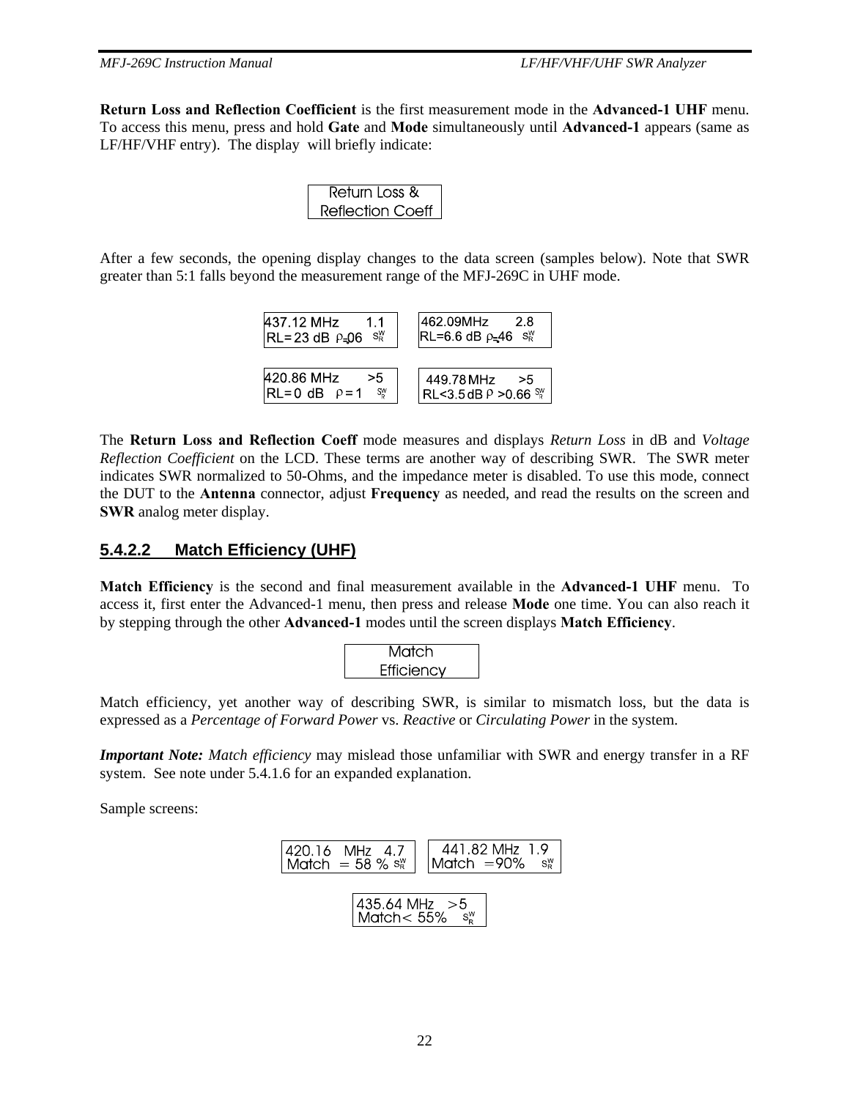**Return Loss and Reflection Coefficient** is the first measurement mode in the **Advanced-1 UHF** menu. To access this menu, press and hold **Gate** and **Mode** simultaneously until **Advanced-1** appears (same as LF/HF/VHF entry). The display will briefly indicate:

| Return Loss &    |
|------------------|
| Reflection Coeff |

After a few seconds, the opening display changes to the data screen (samples below). Note that SWR greater than 5:1 falls beyond the measurement range of the MFJ-269C in UHF mode.

| 437.12 MHz                                                 | 1462.09MHz                                                   |
|------------------------------------------------------------|--------------------------------------------------------------|
| 11                                                         | -2.8                                                         |
| $ RL = 23 dB \rho = 06 S_R^W$                              | $ RL=6.6$ dB $\rho=46$ s <sup>W</sup>                        |
| 420.86 MHz<br>> 5<br>$ RL=0$ dB $\rho=1$<br>S <sup>W</sup> | 449.78 MHz<br>>5<br>$ RL < 3.5$ dB $P > 0.66$ $\frac{8W}{R}$ |

The **Return Loss and Reflection Coeff** mode measures and displays *Return Loss* in dB and *Voltage Reflection Coefficient* on the LCD. These terms are another way of describing SWR. The SWR meter indicates SWR normalized to 50-Ohms, and the impedance meter is disabled. To use this mode, connect the DUT to the **Antenna** connector, adjust **Frequency** as needed, and read the results on the screen and **SWR** analog meter display.

## **5.4.2.2 Match Efficiency (UHF)**

**Match Efficiency** is the second and final measurement available in the **Advanced-1 UHF** menu. To access it, first enter the Advanced-1 menu, then press and release **Mode** one time. You can also reach it by stepping through the other **Advanced-1** modes until the screen displays **Match Efficiency**.



Match efficiency, yet another way of describing SWR, is similar to mismatch loss, but the data is expressed as a *Percentage of Forward Power* vs. *Reactive* or *Circulating Power* in the system.

*Important Note: Match efficiency* may mislead those unfamiliar with SWR and energy transfer in a RF system. See note under 5.4.1.6 for an expanded explanation.

Sample screens:

$$
\begin{array}{|c|c|c|c|c|}\n\hline\n420.16 & MHz & 4.7 & 441.82 MHz & 1.9\nMatch = 58 % sR^{\circ} & Match = 90\% & sR^{\circ}\n\hline\n\end{array}
$$
\n
$$
\begin{array}{|c|c|c|c|c|}\n\hline\n435.64 MHz & > 5\n\end{array}
$$

| Match $< 55\%$  s<sup>w</sup> |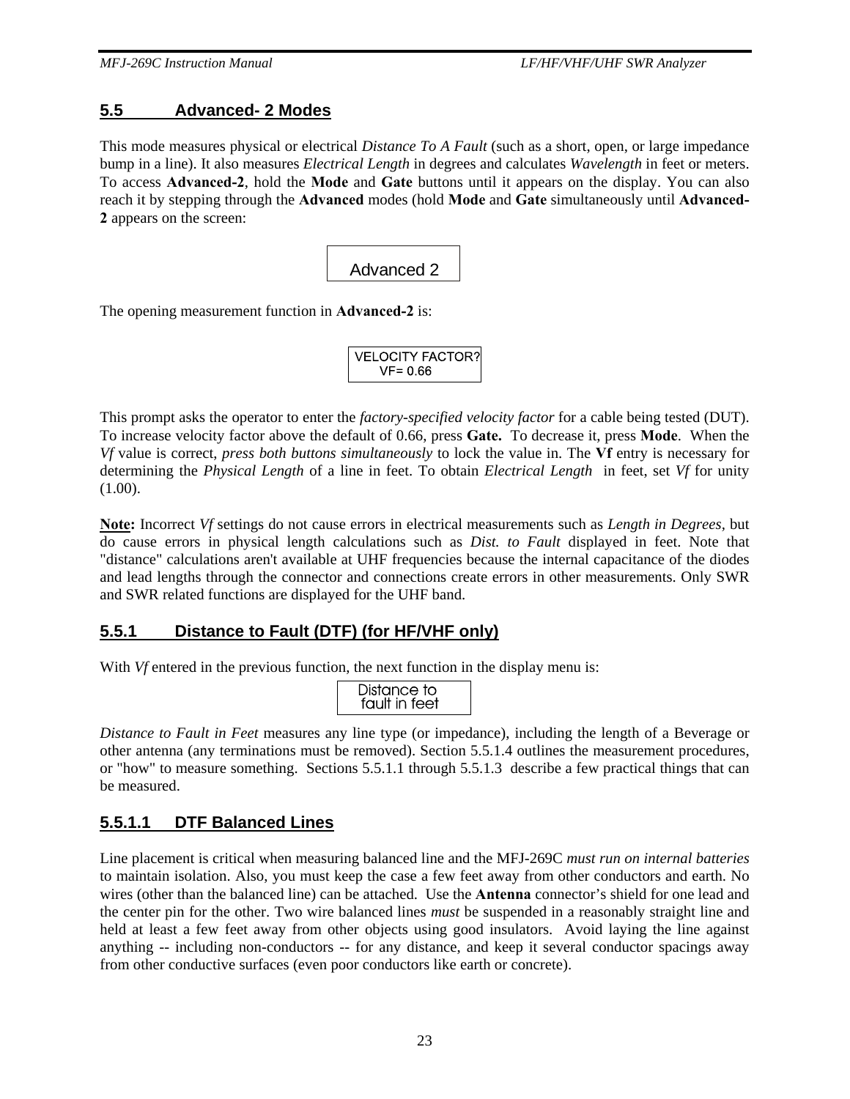#### **5.5 Advanced- 2 Modes**

This mode measures physical or electrical *Distance To A Fault* (such as a short, open, or large impedance bump in a line). It also measures *Electrical Length* in degrees and calculates *Wavelength* in feet or meters. To access **Advanced-2**, hold the **Mode** and **Gate** buttons until it appears on the display. You can also reach it by stepping through the **Advanced** modes (hold **Mode** and **Gate** simultaneously until **Advanced-2** appears on the screen:

Advanced 2

The opening measurement function in **Advanced-2** is:

| <b>VELOCITY FACTOR?</b> |  |
|-------------------------|--|
| $VF = 0.66$             |  |

This prompt asks the operator to enter the *factory-specified velocity factor* for a cable being tested (DUT). To increase velocity factor above the default of 0.66, press **Gate.** To decrease it, press **Mode**. When the *Vf* value is correct, *press both buttons simultaneously* to lock the value in. The **Vf** entry is necessary for determining the *Physical Length* of a line in feet. To obtain *Electrical Length* in feet, set *Vf* for unity (1.00).

**Note:** Incorrect *Vf* settings do not cause errors in electrical measurements such as *Length in Degrees,* but do cause errors in physical length calculations such as *Dist. to Fault* displayed in feet. Note that "distance" calculations aren't available at UHF frequencies because the internal capacitance of the diodes and lead lengths through the connector and connections create errors in other measurements. Only SWR and SWR related functions are displayed for the UHF band.

#### **5.5.1 Distance to Fault (DTF) (for HF/VHF only)**

With *Vf* entered in the previous function, the next function in the display menu is:

| Distance to<br>fault in feet |
|------------------------------|
|------------------------------|

*Distance to Fault in Feet* measures any line type (or impedance), including the length of a Beverage or other antenna (any terminations must be removed). Section 5.5.1.4 outlines the measurement procedures, or "how" to measure something. Sections 5.5.1.1 through 5.5.1.3 describe a few practical things that can be measured.

#### **5.5.1.1 DTF Balanced Lines**

Line placement is critical when measuring balanced line and the MFJ-269C *must run on internal batteries* to maintain isolation. Also, you must keep the case a few feet away from other conductors and earth. No wires (other than the balanced line) can be attached. Use the **Antenna** connector's shield for one lead and the center pin for the other. Two wire balanced lines *must* be suspended in a reasonably straight line and held at least a few feet away from other objects using good insulators. Avoid laying the line against anything -- including non-conductors -- for any distance, and keep it several conductor spacings away from other conductive surfaces (even poor conductors like earth or concrete).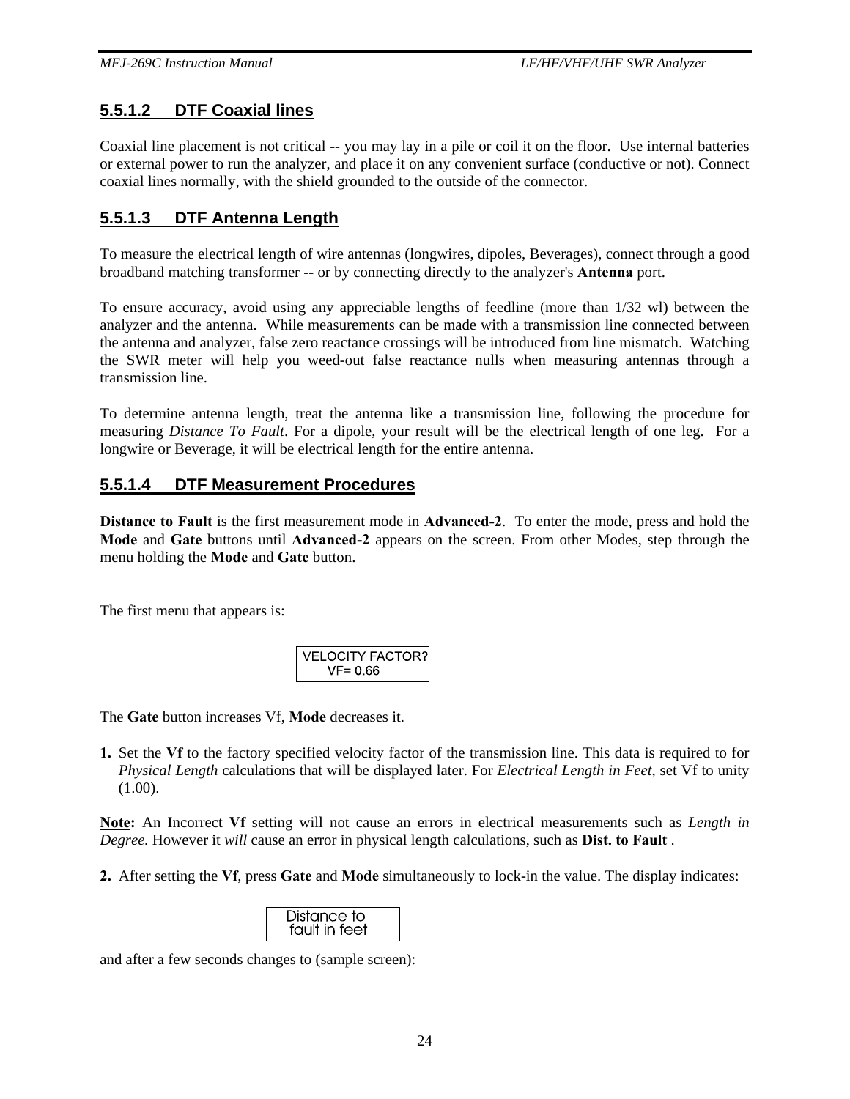## **5.5.1.2 DTF Coaxial lines**

Coaxial line placement is not critical -- you may lay in a pile or coil it on the floor. Use internal batteries or external power to run the analyzer, and place it on any convenient surface (conductive or not). Connect coaxial lines normally, with the shield grounded to the outside of the connector.

## **5.5.1.3 DTF Antenna Length**

To measure the electrical length of wire antennas (longwires, dipoles, Beverages), connect through a good broadband matching transformer -- or by connecting directly to the analyzer's **Antenna** port.

To ensure accuracy, avoid using any appreciable lengths of feedline (more than 1/32 wl) between the analyzer and the antenna. While measurements can be made with a transmission line connected between the antenna and analyzer, false zero reactance crossings will be introduced from line mismatch. Watching the SWR meter will help you weed-out false reactance nulls when measuring antennas through a transmission line.

To determine antenna length, treat the antenna like a transmission line, following the procedure for measuring *Distance To Fault*. For a dipole, your result will be the electrical length of one leg. For a longwire or Beverage, it will be electrical length for the entire antenna.

## **5.5.1.4 DTF Measurement Procedures**

**Distance to Fault** is the first measurement mode in **Advanced-2**. To enter the mode, press and hold the **Mode** and **Gate** buttons until **Advanced-2** appears on the screen. From other Modes, step through the menu holding the **Mode** and **Gate** button.

The first menu that appears is:

| <b>VELOCITY FACTOR?</b> |  |
|-------------------------|--|
| $VF = 0.66$             |  |

The **Gate** button increases Vf, **Mode** decreases it.

**1.** Set the **Vf** to the factory specified velocity factor of the transmission line. This data is required to for *Physical Length* calculations that will be displayed later. For *Electrical Length in Feet*, set Vf to unity (1.00).

**Note:** An Incorrect **Vf** setting will not cause an errors in electrical measurements such as *Length in Degree.* However it *will* cause an error in physical length calculations, such as **Dist. to Fault** .

**2.** After setting the **Vf**, press **Gate** and **Mode** simultaneously to lock-in the value. The display indicates:

| Distance to   |  |
|---------------|--|
| fault in feet |  |

and after a few seconds changes to (sample screen):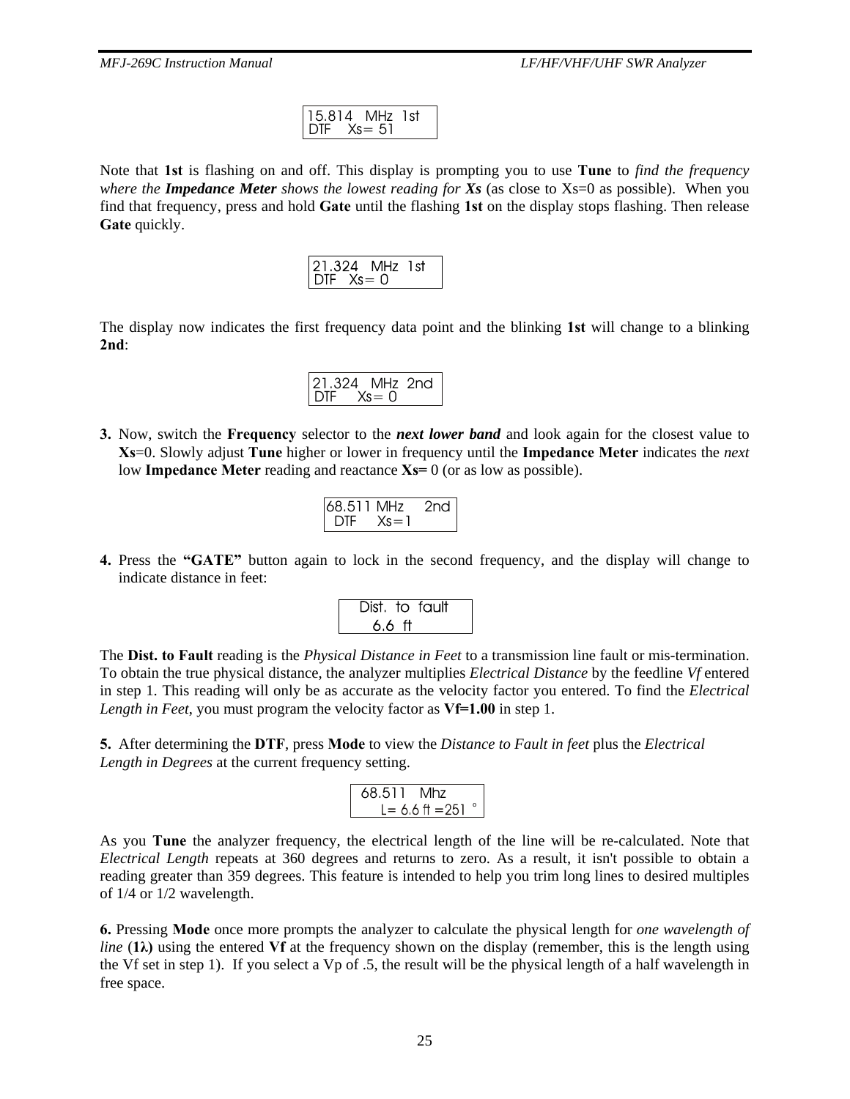| $15.814$ MHz 1st |  |  |
|------------------|--|--|
| $DIF$ $Xs = 51$  |  |  |

Note that **1st** is flashing on and off. This display is prompting you to use **Tune** to *find the frequency where the Impedance Meter shows the lowest reading for Xs* (as close to Xs=0 as possible). When you find that frequency, press and hold **Gate** until the flashing **1st** on the display stops flashing. Then release **Gate** quickly.

|                     | 21.324 MHz 1st |  |
|---------------------|----------------|--|
| $DIF$ $Xs = \Omega$ |                |  |

The display now indicates the first frequency data point and the blinking **1st** will change to a blinking **2nd**:

|                | 21.324 MHz 2nd |  |
|----------------|----------------|--|
| $DIF$ $Xs = 0$ |                |  |
|                |                |  |

**3.** Now, switch the **Frequency** selector to the *next lower band* and look again for the closest value to **Xs**=0. Slowly adjust **Tune** higher or lower in frequency until the **Impedance Meter** indicates the *next* low **Impedance Meter** reading and reactance **Xs=** 0 (or as low as possible).

| 68.511 MHz |          | 2nd |
|------------|----------|-----|
| DTE.       | $Xs = 1$ |     |

**4.** Press the **"GATE"** button again to lock in the second frequency, and the display will change to indicate distance in feet:

|        | Dist. to fault |  |
|--------|----------------|--|
| 6.6 ft |                |  |

The **Dist. to Fault** reading is the *Physical Distance in Feet* to a transmission line fault or mis-termination. To obtain the true physical distance, the analyzer multiplies *Electrical Distance* by the feedline *Vf* entered in step 1. This reading will only be as accurate as the velocity factor you entered. To find the *Electrical Length in Feet*, you must program the velocity factor as **Vf=1.00** in step 1.

**5.** After determining the **DTF**, press **Mode** to view the *Distance to Fault in feet* plus the *Electrical Length in Degrees* at the current frequency setting.

$$
68.511 \text{ Mhz} L = 6.6 \text{ ft} = 251^{\circ}
$$

As you **Tune** the analyzer frequency, the electrical length of the line will be re-calculated. Note that *Electrical Length* repeats at 360 degrees and returns to zero. As a result, it isn't possible to obtain a reading greater than 359 degrees. This feature is intended to help you trim long lines to desired multiples of 1/4 or 1/2 wavelength.

**6.** Pressing **Mode** once more prompts the analyzer to calculate the physical length for *one wavelength of line*  $(1\lambda)$  using the entered Vf at the frequency shown on the display (remember, this is the length using the Vf set in step 1). If you select a Vp of .5, the result will be the physical length of a half wavelength in free space.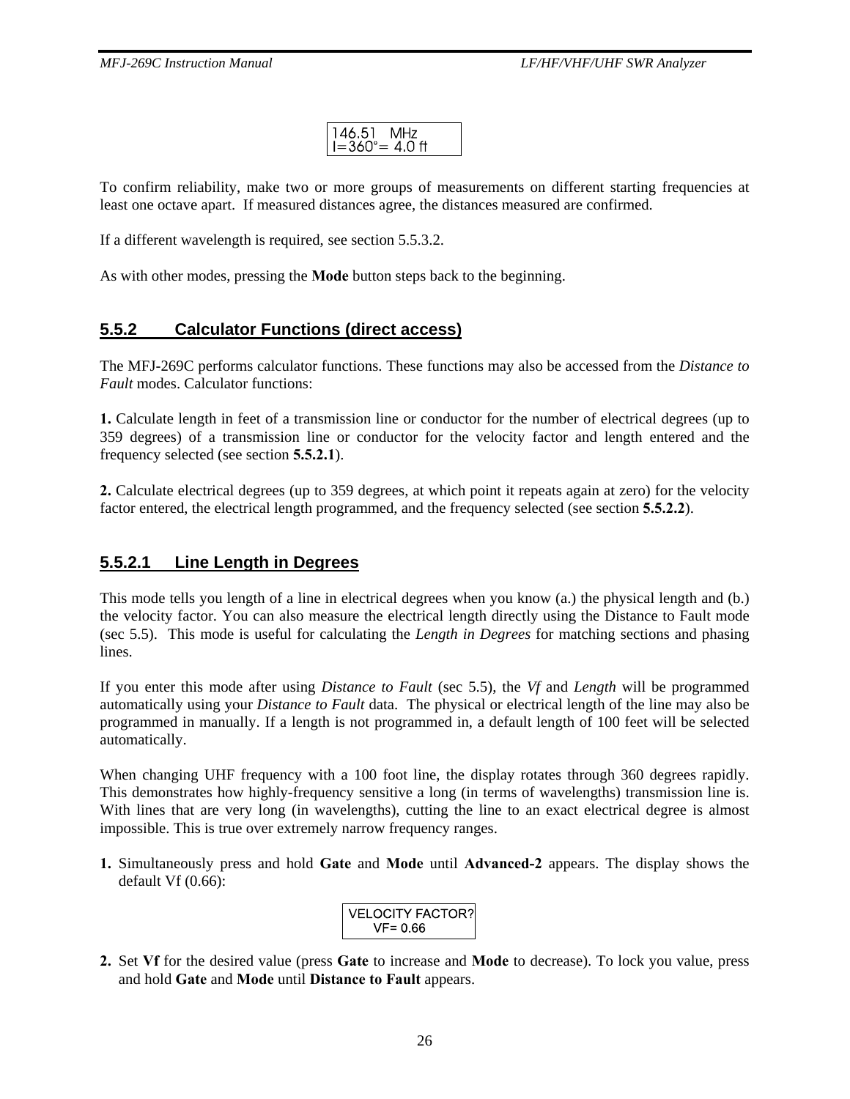$146.51$  MHz<br> $I = 360^\circ = 4.0$  ft

To confirm reliability, make two or more groups of measurements on different starting frequencies at least one octave apart. If measured distances agree, the distances measured are confirmed.

If a different wavelength is required, see section 5.5.3.2.

As with other modes, pressing the **Mode** button steps back to the beginning.

## **5.5.2 Calculator Functions (direct access)**

The MFJ-269C performs calculator functions. These functions may also be accessed from the *Distance to Fault* modes. Calculator functions:

**1.** Calculate length in feet of a transmission line or conductor for the number of electrical degrees (up to 359 degrees) of a transmission line or conductor for the velocity factor and length entered and the frequency selected (see section **5.5.2.1**).

**2.** Calculate electrical degrees (up to 359 degrees, at which point it repeats again at zero) for the velocity factor entered, the electrical length programmed, and the frequency selected (see section **5.5.2.2**).

#### **5.5.2.1 Line Length in Degrees**

This mode tells you length of a line in electrical degrees when you know (a.) the physical length and (b.) the velocity factor. You can also measure the electrical length directly using the Distance to Fault mode (sec 5.5). This mode is useful for calculating the *Length in Degrees* for matching sections and phasing lines.

If you enter this mode after using *Distance to Fault* (sec 5.5), the *Vf* and *Length* will be programmed automatically using your *Distance to Fault* data. The physical or electrical length of the line may also be programmed in manually. If a length is not programmed in, a default length of 100 feet will be selected automatically.

When changing UHF frequency with a 100 foot line, the display rotates through 360 degrees rapidly. This demonstrates how highly-frequency sensitive a long (in terms of wavelengths) transmission line is. With lines that are very long (in wavelengths), cutting the line to an exact electrical degree is almost impossible. This is true over extremely narrow frequency ranges.

**1.** Simultaneously press and hold **Gate** and **Mode** until **Advanced-2** appears. The display shows the default Vf (0.66):

| <b>VELOCITY FACTOR?</b> |
|-------------------------|
| $VF = 0.66$             |

**2.** Set **Vf** for the desired value (press **Gate** to increase and **Mode** to decrease). To lock you value, press and hold **Gate** and **Mode** until **Distance to Fault** appears.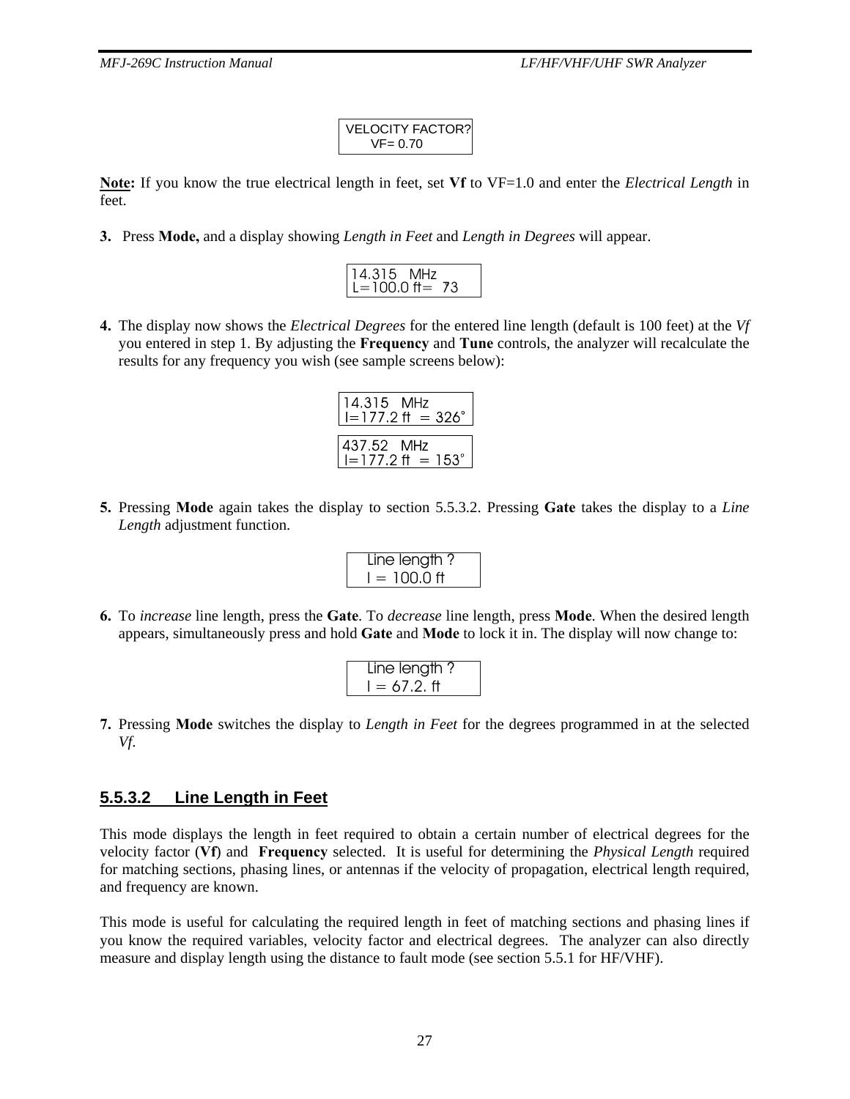VELOCITY FACTOR?  $VF = 0.70$ 

**Note:** If you know the true electrical length in feet, set **Vf** to VF=1.0 and enter the *Electrical Length* in feet.

**3.** Press **Mode,** and a display showing *Length in Feet* and *Length in Degrees* will appear.

| 4.315 MHz       |  |
|-----------------|--|
| $i = 100.0$ ff= |  |

**4.** The display now shows the *Electrical Degrees* for the entered line length (default is 100 feet) at the *Vf* you entered in step 1. By adjusting the **Frequency** and **Tune** controls, the analyzer will recalculate the results for any frequency you wish (see sample screens below):

| 14.315 MHz | $I = 177.2$ ft = 326° |
|------------|-----------------------|
| 437.52 MHz | $I = 177.2$ ft = 153° |

**5.** Pressing **Mode** again takes the display to section 5.5.3.2. Pressing **Gate** takes the display to a *Line Length* adjustment function.

| Line length?   |  |
|----------------|--|
| $I = 100.0$ ff |  |
|                |  |

**6.** To *increase* line length, press the **Gate**. To *decrease* line length, press **Mode**. When the desired length appears, simultaneously press and hold **Gate** and **Mode** to lock it in. The display will now change to:

| Line length? |  |
|--------------|--|
| $= 67.2.$ ft |  |

**7.** Pressing **Mode** switches the display to *Length in Feet* for the degrees programmed in at the selected *Vf*.

## **5.5.3.2 Line Length in Feet**

This mode displays the length in feet required to obtain a certain number of electrical degrees for the velocity factor (**Vf**) and **Frequency** selected. It is useful for determining the *Physical Length* required for matching sections, phasing lines, or antennas if the velocity of propagation, electrical length required, and frequency are known.

This mode is useful for calculating the required length in feet of matching sections and phasing lines if you know the required variables, velocity factor and electrical degrees. The analyzer can also directly measure and display length using the distance to fault mode (see section 5.5.1 for HF/VHF).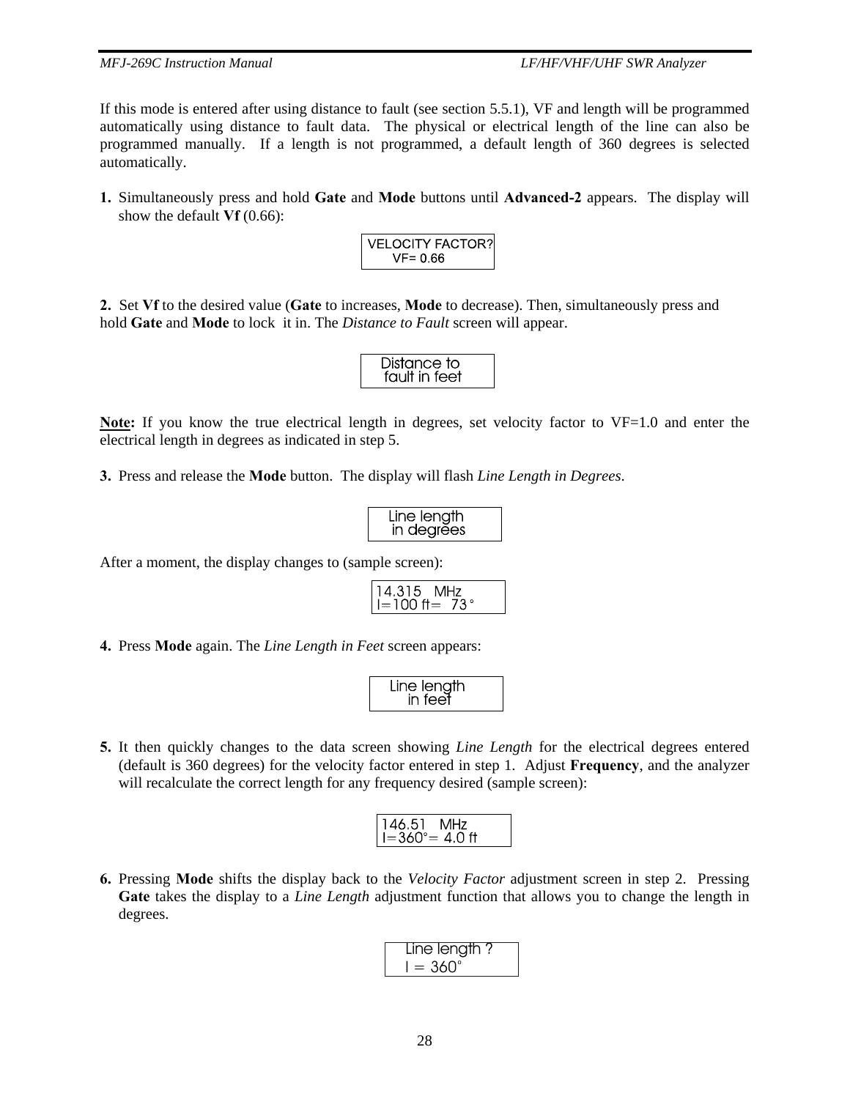If this mode is entered after using distance to fault (see section 5.5.1), VF and length will be programmed automatically using distance to fault data. The physical or electrical length of the line can also be programmed manually. If a length is not programmed, a default length of 360 degrees is selected automatically.

**1.** Simultaneously press and hold **Gate** and **Mode** buttons until **Advanced-2** appears. The display will show the default **Vf** (0.66):

| <b>VELOCITY FACTOR?</b> |
|-------------------------|
| $VF = 0.66$             |

**2.** Set **Vf** to the desired value (**Gate** to increases, **Mode** to decrease). Then, simultaneously press and hold **Gate** and **Mode** to lock it in. The *Distance to Fault* screen will appear.

| Distance to<br>fault in feet |  |
|------------------------------|--|
|                              |  |
|                              |  |

**Note:** If you know the true electrical length in degrees, set velocity factor to VF=1.0 and enter the electrical length in degrees as indicated in step 5.

**3.** Press and release the **Mode** button. The display will flash *Line Length in Degrees*.

| Line length       |  |
|-------------------|--|
| <b>In degrĕes</b> |  |

After a moment, the display changes to (sample screen):

$$
14.315 \text{ MHz} I = 100 \text{ ft} = 73^{\circ}
$$

**4.** Press **Mode** again. The *Line Length in Feet* screen appears:

| Line length |  |
|-------------|--|
| in feet     |  |
|             |  |

**5.** It then quickly changes to the data screen showing *Line Length* for the electrical degrees entered (default is 360 degrees) for the velocity factor entered in step 1. Adjust **Frequency**, and the analyzer will recalculate the correct length for any frequency desired (sample screen):

$$
146.51 \text{ MHz} I = 360^{\circ} = 4.0 \text{ ft}
$$

**6.** Pressing **Mode** shifts the display back to the *Velocity Factor* adjustment screen in step 2. Pressing **Gate** takes the display to a *Line Length* adjustment function that allows you to change the length in degrees.

$$
\begin{array}{|c|c|}\n\hline\n\text{Line length ?} \\
I = 360^{\circ}\n\end{array}
$$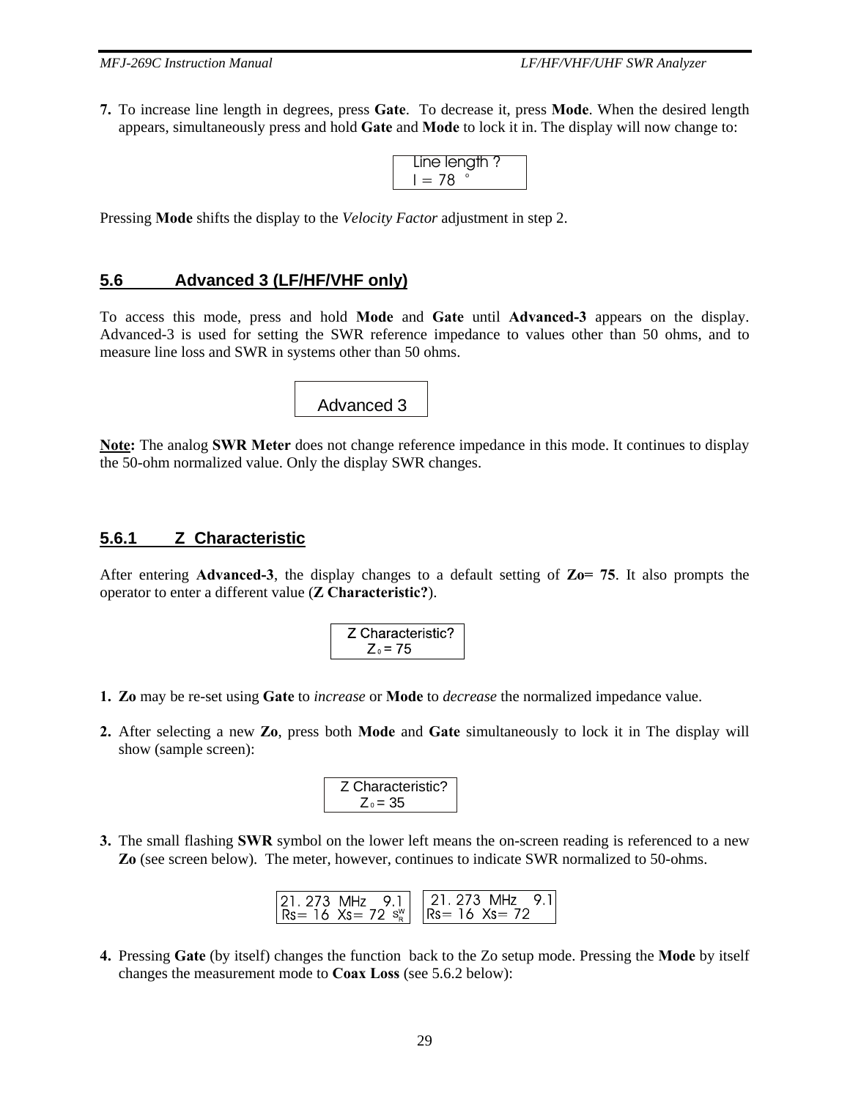**7.** To increase line length in degrees, press **Gate**. To decrease it, press **Mode**. When the desired length appears, simultaneously press and hold **Gate** and **Mode** to lock it in. The display will now change to:

| Line length ? |  |
|---------------|--|
|               |  |

Pressing **Mode** shifts the display to the *Velocity Factor* adjustment in step 2.

#### **5.6 Advanced 3 (LF/HF/VHF only)**

To access this mode, press and hold **Mode** and **Gate** until **Advanced-3** appears on the display. Advanced-3 is used for setting the SWR reference impedance to values other than 50 ohms, and to measure line loss and SWR in systems other than 50 ohms.

Advanced 3

**Note:** The analog **SWR Meter** does not change reference impedance in this mode. It continues to display the 50-ohm normalized value. Only the display SWR changes.

#### **5.6.1 Z Characteristic**

After entering **Advanced-3**, the display changes to a default setting of **Zo= 75**. It also prompts the operator to enter a different value (**Z Characteristic?**).

Z Characteristic?  

$$
Z_0 = 75
$$

- **1. Zo** may be re-set using **Gate** to *increase* or **Mode** to *decrease* the normalized impedance value.
- **2.** After selecting a new **Zo**, press both **Mode** and **Gate** simultaneously to lock it in The display will show (sample screen):

Z Characteristic?  

$$
Z_0 = 35
$$

**3.** The small flashing **SWR** symbol on the lower left means the on-screen reading is referenced to a new **Zo** (see screen below). The meter, however, continues to indicate SWR normalized to 50-ohms.

| $ 21, 273 \text{ MHz}$ 9.1 $ 21, 273 \text{ MHz}$ 9.1<br>$ $ Rs= 16 Xs= 72 s <sup>w</sup>   Rs= 16 Xs= 72 |  |
|-----------------------------------------------------------------------------------------------------------|--|
|-----------------------------------------------------------------------------------------------------------|--|

**4.** Pressing **Gate** (by itself) changes the function back to the Zo setup mode. Pressing the **Mode** by itself changes the measurement mode to **Coax Loss** (see 5.6.2 below):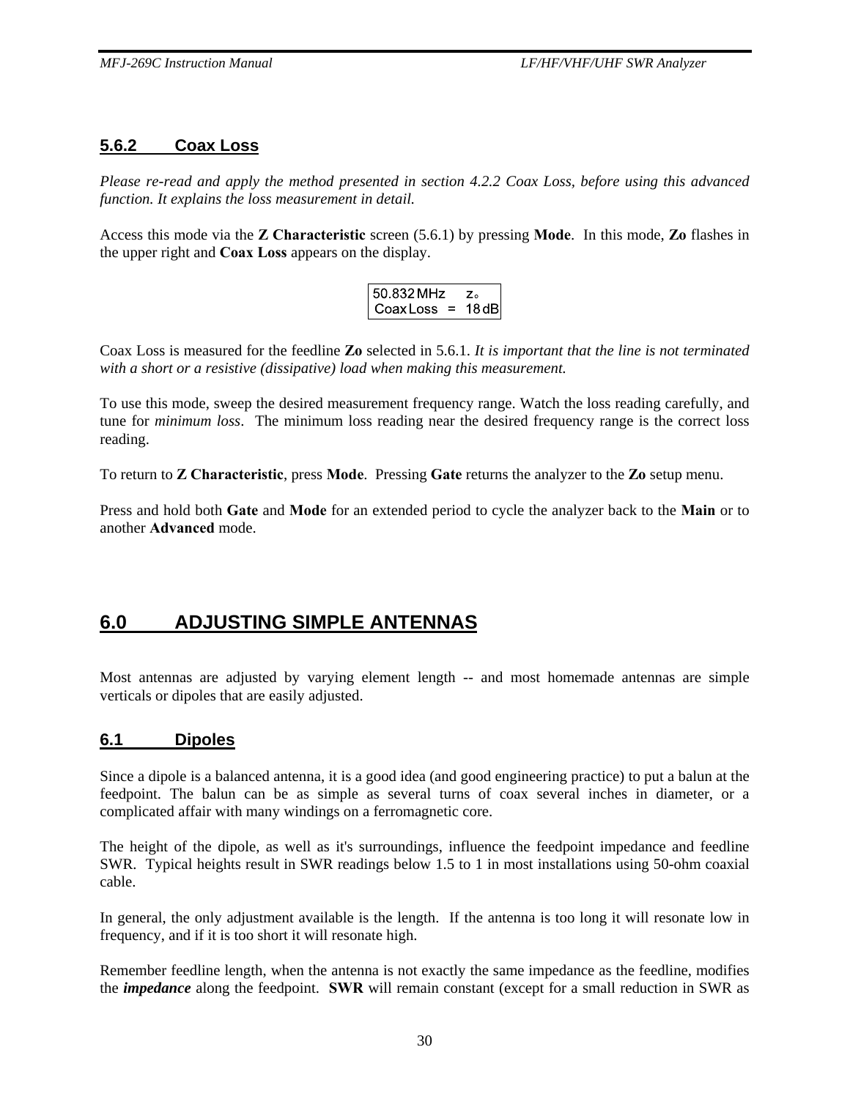## **5.6.2 Coax Loss**

*Please re-read and apply the method presented in section 4.2.2 Coax Loss, before using this advanced function. It explains the loss measurement in detail.* 

Access this mode via the **Z Characteristic** screen (5.6.1) by pressing **Mode**. In this mode, **Zo** flashes in the upper right and **Coax Loss** appears on the display.

| 50.832 MHz       |        |
|------------------|--------|
| Coax Loss<br>$=$ | 18 dBl |

Coax Loss is measured for the feedline **Zo** selected in 5.6.1. *It is important that the line is not terminated with a short or a resistive (dissipative) load when making this measurement.*

To use this mode, sweep the desired measurement frequency range. Watch the loss reading carefully, and tune for *minimum loss*. The minimum loss reading near the desired frequency range is the correct loss reading.

To return to **Z Characteristic**, press **Mode**. Pressing **Gate** returns the analyzer to the **Zo** setup menu.

Press and hold both **Gate** and **Mode** for an extended period to cycle the analyzer back to the **Main** or to another **Advanced** mode.

# **6.0 ADJUSTING SIMPLE ANTENNAS**

Most antennas are adjusted by varying element length -- and most homemade antennas are simple verticals or dipoles that are easily adjusted.

#### **6.1 Dipoles**

Since a dipole is a balanced antenna, it is a good idea (and good engineering practice) to put a balun at the feedpoint. The balun can be as simple as several turns of coax several inches in diameter, or a complicated affair with many windings on a ferromagnetic core.

The height of the dipole, as well as it's surroundings, influence the feedpoint impedance and feedline SWR. Typical heights result in SWR readings below 1.5 to 1 in most installations using 50-ohm coaxial cable.

In general, the only adjustment available is the length. If the antenna is too long it will resonate low in frequency, and if it is too short it will resonate high.

Remember feedline length, when the antenna is not exactly the same impedance as the feedline, modifies the *impedance* along the feedpoint. **SWR** will remain constant (except for a small reduction in SWR as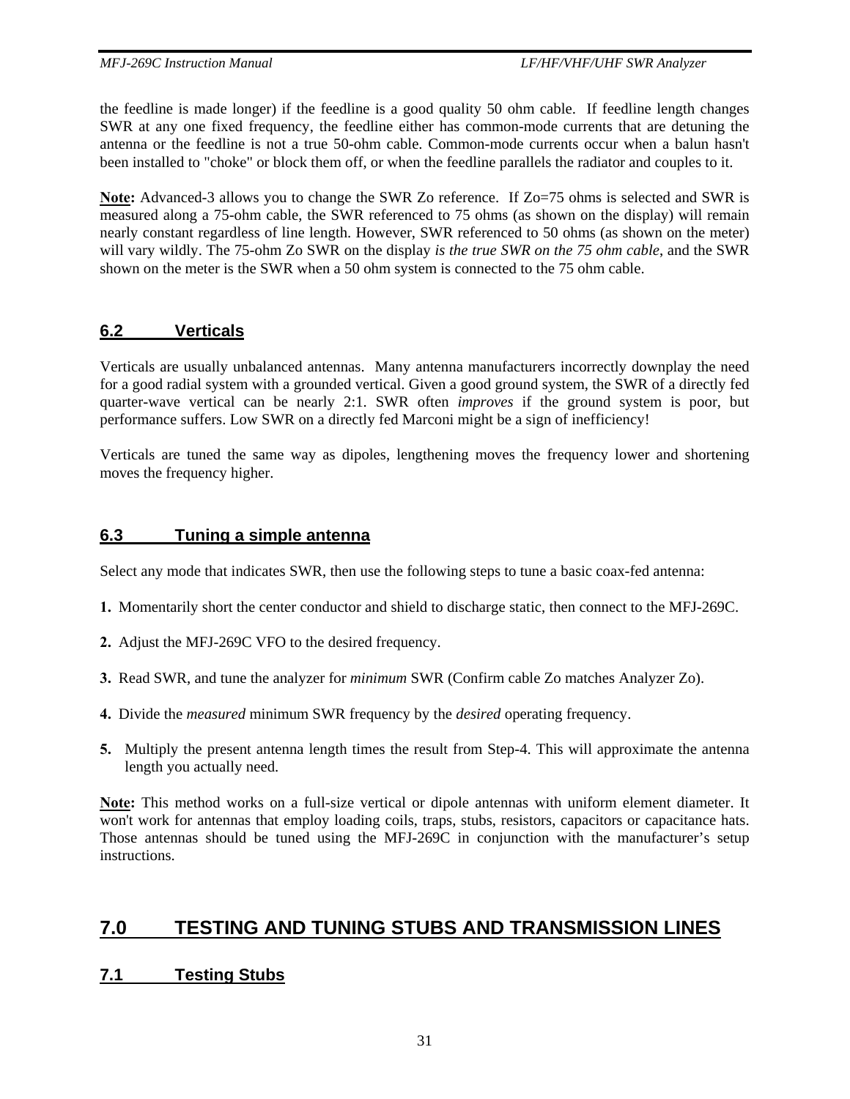the feedline is made longer) if the feedline is a good quality 50 ohm cable. If feedline length changes SWR at any one fixed frequency, the feedline either has common-mode currents that are detuning the antenna or the feedline is not a true 50-ohm cable. Common-mode currents occur when a balun hasn't been installed to "choke" or block them off, or when the feedline parallels the radiator and couples to it.

**Note:** Advanced-3 allows you to change the SWR Zo reference. If Zo=75 ohms is selected and SWR is measured along a 75-ohm cable, the SWR referenced to 75 ohms (as shown on the display) will remain nearly constant regardless of line length. However, SWR referenced to 50 ohms (as shown on the meter) will vary wildly. The 75-ohm Zo SWR on the display *is the true SWR on the 75 ohm cable*, and the SWR shown on the meter is the SWR when a 50 ohm system is connected to the 75 ohm cable.

## **6.2 Verticals**

Verticals are usually unbalanced antennas. Many antenna manufacturers incorrectly downplay the need for a good radial system with a grounded vertical. Given a good ground system, the SWR of a directly fed quarter-wave vertical can be nearly 2:1. SWR often *improves* if the ground system is poor, but performance suffers. Low SWR on a directly fed Marconi might be a sign of inefficiency!

Verticals are tuned the same way as dipoles, lengthening moves the frequency lower and shortening moves the frequency higher.

## **6.3 Tuning a simple antenna**

Select any mode that indicates SWR, then use the following steps to tune a basic coax-fed antenna:

- **1.** Momentarily short the center conductor and shield to discharge static, then connect to the MFJ-269C.
- **2.** Adjust the MFJ-269C VFO to the desired frequency.
- **3.** Read SWR, and tune the analyzer for *minimum* SWR (Confirm cable Zo matches Analyzer Zo).
- **4.** Divide the *measured* minimum SWR frequency by the *desired* operating frequency.
- **5.** Multiply the present antenna length times the result from Step-4. This will approximate the antenna length you actually need.

**Note:** This method works on a full-size vertical or dipole antennas with uniform element diameter. It won't work for antennas that employ loading coils, traps, stubs, resistors, capacitors or capacitance hats. Those antennas should be tuned using the MFJ-269C in conjunction with the manufacturer's setup instructions.

# **7.0 TESTING AND TUNING STUBS AND TRANSMISSION LINES**

## **7.1 Testing Stubs**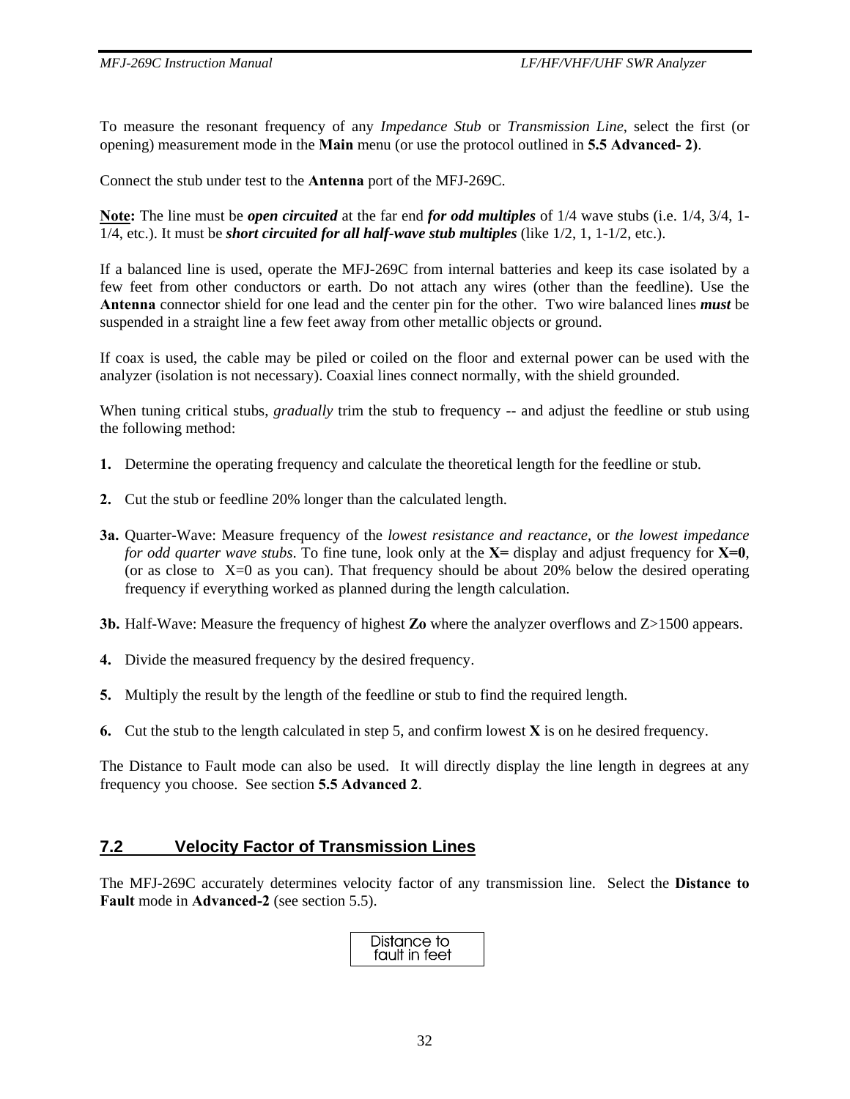To measure the resonant frequency of any *Impedance Stub* or *Transmission Line*, select the first (or opening) measurement mode in the **Main** menu (or use the protocol outlined in **5.5 Advanced- 2)**.

Connect the stub under test to the **Antenna** port of the MFJ-269C.

**Note:** The line must be *open circuited* at the far end *for odd multiples* of 1/4 wave stubs (i.e. 1/4, 3/4, 1- 1/4, etc.). It must be *short circuited for all half-wave stub multiples* (like 1/2, 1, 1-1/2, etc.).

If a balanced line is used, operate the MFJ-269C from internal batteries and keep its case isolated by a few feet from other conductors or earth. Do not attach any wires (other than the feedline). Use the **Antenna** connector shield for one lead and the center pin for the other. Two wire balanced lines *must* be suspended in a straight line a few feet away from other metallic objects or ground.

If coax is used, the cable may be piled or coiled on the floor and external power can be used with the analyzer (isolation is not necessary). Coaxial lines connect normally, with the shield grounded.

When tuning critical stubs, *gradually* trim the stub to frequency -- and adjust the feedline or stub using the following method:

- **1.** Determine the operating frequency and calculate the theoretical length for the feedline or stub.
- **2.** Cut the stub or feedline 20% longer than the calculated length.
- **3a.** Quarter-Wave: Measure frequency of the *lowest resistance and reactance*, or *the lowest impedance for odd quarter wave stubs*. To fine tune, look only at the **X=** display and adjust frequency for **X=0**, (or as close to  $X=0$  as you can). That frequency should be about 20% below the desired operating frequency if everything worked as planned during the length calculation.
- **3b.** Half-Wave: Measure the frequency of highest **Zo** where the analyzer overflows and Z>1500 appears.
- **4.** Divide the measured frequency by the desired frequency.
- **5.** Multiply the result by the length of the feedline or stub to find the required length.
- **6.** Cut the stub to the length calculated in step 5, and confirm lowest **X** is on he desired frequency.

The Distance to Fault mode can also be used. It will directly display the line length in degrees at any frequency you choose. See section **5.5 Advanced 2**.

#### **7.2 Velocity Factor of Transmission Lines**

The MFJ-269C accurately determines velocity factor of any transmission line. Select the **Distance to Fault** mode in **Advanced-2** (see section 5.5).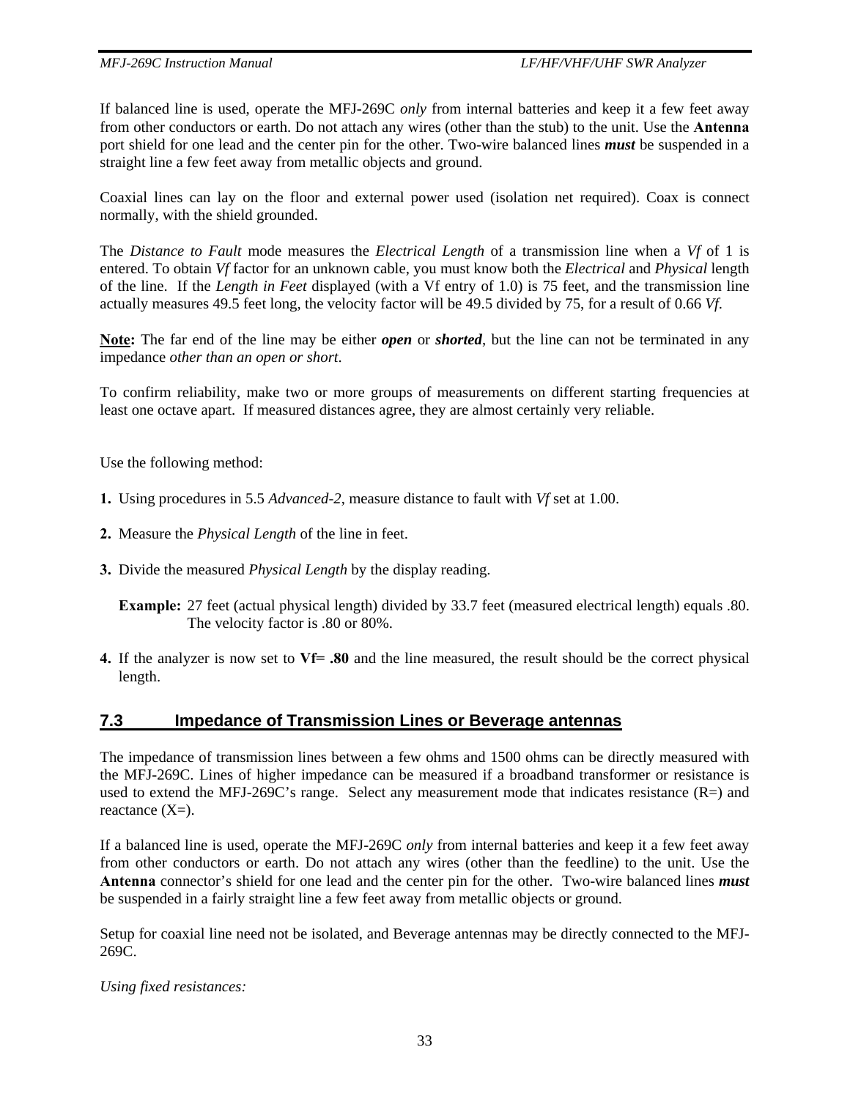If balanced line is used, operate the MFJ-269C *only* from internal batteries and keep it a few feet away from other conductors or earth. Do not attach any wires (other than the stub) to the unit. Use the **Antenna**  port shield for one lead and the center pin for the other. Two-wire balanced lines *must* be suspended in a straight line a few feet away from metallic objects and ground.

Coaxial lines can lay on the floor and external power used (isolation net required). Coax is connect normally, with the shield grounded.

The *Distance to Fault* mode measures the *Electrical Length* of a transmission line when a *Vf* of 1 is entered. To obtain *Vf* factor for an unknown cable, you must know both the *Electrical* and *Physical* length of the line. If the *Length in Feet* displayed (with a Vf entry of 1.0) is 75 feet, and the transmission line actually measures 49.5 feet long, the velocity factor will be 49.5 divided by 75, for a result of 0.66 *Vf*.

**Note:** The far end of the line may be either *open* or *shorted*, but the line can not be terminated in any impedance *other than an open or short*.

To confirm reliability, make two or more groups of measurements on different starting frequencies at least one octave apart. If measured distances agree, they are almost certainly very reliable.

Use the following method:

- **1.** Using procedures in 5.5 *Advanced-2*, measure distance to fault with *Vf* set at 1.00.
- **2.** Measure the *Physical Length* of the line in feet.
- **3.** Divide the measured *Physical Length* by the display reading.

**Example:** 27 feet (actual physical length) divided by 33.7 feet (measured electrical length) equals .80. The velocity factor is .80 or 80%.

**4.** If the analyzer is now set to **Vf= .80** and the line measured, the result should be the correct physical length.

#### **7.3 Impedance of Transmission Lines or Beverage antennas**

The impedance of transmission lines between a few ohms and 1500 ohms can be directly measured with the MFJ-269C. Lines of higher impedance can be measured if a broadband transformer or resistance is used to extend the MFJ-269C's range. Select any measurement mode that indicates resistance (R=) and reactance  $(X=)$ .

If a balanced line is used, operate the MFJ-269C *only* from internal batteries and keep it a few feet away from other conductors or earth. Do not attach any wires (other than the feedline) to the unit. Use the **Antenna** connector's shield for one lead and the center pin for the other. Two-wire balanced lines *must* be suspended in a fairly straight line a few feet away from metallic objects or ground.

Setup for coaxial line need not be isolated, and Beverage antennas may be directly connected to the MFJ-269C.

*Using fixed resistances:*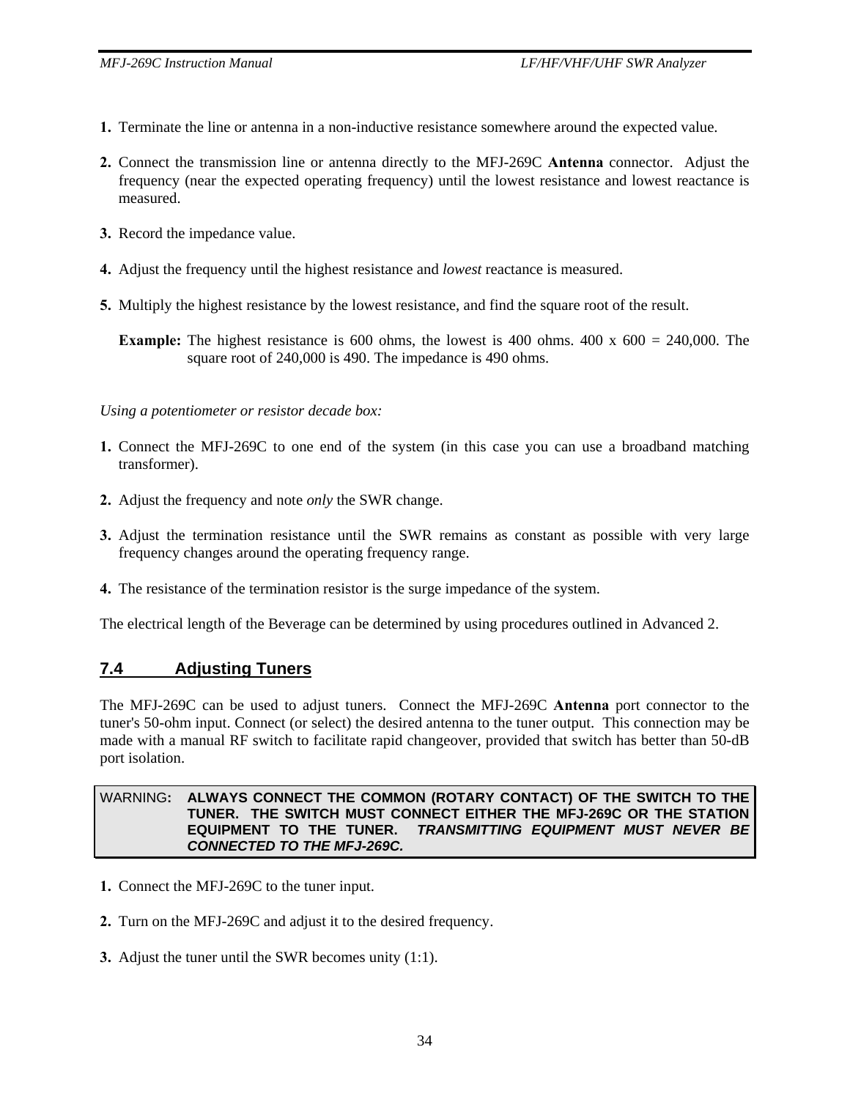- **1.** Terminate the line or antenna in a non-inductive resistance somewhere around the expected value.
- **2.** Connect the transmission line or antenna directly to the MFJ-269C **Antenna** connector. Adjust the frequency (near the expected operating frequency) until the lowest resistance and lowest reactance is measured.
- **3.** Record the impedance value.
- **4.** Adjust the frequency until the highest resistance and *lowest* reactance is measured.
- **5.** Multiply the highest resistance by the lowest resistance, and find the square root of the result.

**Example:** The highest resistance is 600 ohms, the lowest is 400 ohms. 400 x 600 = 240,000. The square root of 240,000 is 490. The impedance is 490 ohms.

*Using a potentiometer or resistor decade box:* 

- **1.** Connect the MFJ-269C to one end of the system (in this case you can use a broadband matching transformer).
- **2.** Adjust the frequency and note *only* the SWR change.
- **3.** Adjust the termination resistance until the SWR remains as constant as possible with very large frequency changes around the operating frequency range.
- **4.** The resistance of the termination resistor is the surge impedance of the system.

The electrical length of the Beverage can be determined by using procedures outlined in Advanced 2.

#### **7.4 Adjusting Tuners**

The MFJ-269C can be used to adjust tuners. Connect the MFJ-269C **Antenna** port connector to the tuner's 50-ohm input. Connect (or select) the desired antenna to the tuner output. This connection may be made with a manual RF switch to facilitate rapid changeover, provided that switch has better than 50-dB port isolation.

#### WARNING**: ALWAYS CONNECT THE COMMON (ROTARY CONTACT) OF THE SWITCH TO THE TUNER. THE SWITCH MUST CONNECT EITHER THE MFJ-269C OR THE STATION EQUIPMENT TO THE TUNER.** *TRANSMITTING EQUIPMENT MUST NEVER BE CONNECTED TO THE MFJ-269C.*

- **1.** Connect the MFJ-269C to the tuner input.
- **2.** Turn on the MFJ-269C and adjust it to the desired frequency.
- **3.** Adjust the tuner until the SWR becomes unity (1:1).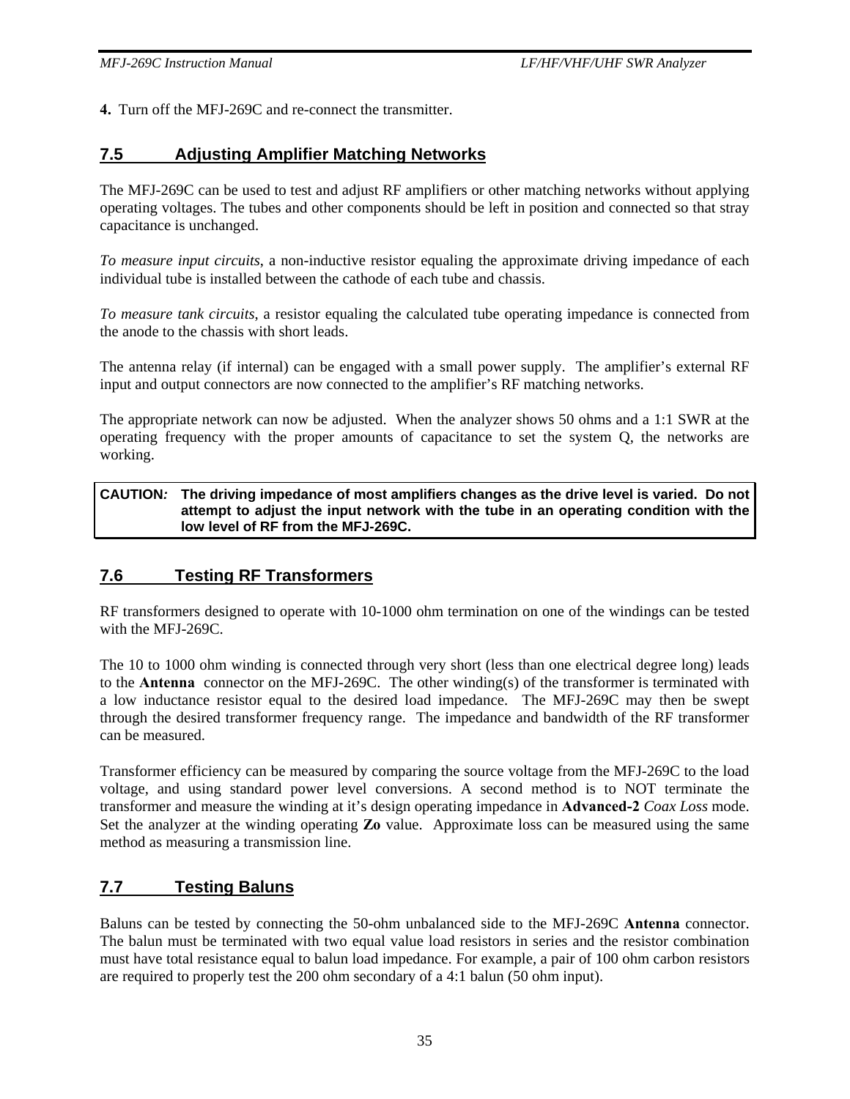**4.** Turn off the MFJ-269C and re-connect the transmitter.

## **7.5 Adjusting Amplifier Matching Networks**

The MFJ-269C can be used to test and adjust RF amplifiers or other matching networks without applying operating voltages. The tubes and other components should be left in position and connected so that stray capacitance is unchanged.

*To measure input circuits*, a non-inductive resistor equaling the approximate driving impedance of each individual tube is installed between the cathode of each tube and chassis.

*To measure tank circuits*, a resistor equaling the calculated tube operating impedance is connected from the anode to the chassis with short leads.

The antenna relay (if internal) can be engaged with a small power supply. The amplifier's external RF input and output connectors are now connected to the amplifier's RF matching networks.

The appropriate network can now be adjusted. When the analyzer shows 50 ohms and a 1:1 SWR at the operating frequency with the proper amounts of capacitance to set the system Q, the networks are working.

#### **CAUTION***:* **The driving impedance of most amplifiers changes as the drive level is varied. Do not attempt to adjust the input network with the tube in an operating condition with the low level of RF from the MFJ-269C.**

## **7.6 Testing RF Transformers**

RF transformers designed to operate with 10-1000 ohm termination on one of the windings can be tested with the MFJ-269C.

The 10 to 1000 ohm winding is connected through very short (less than one electrical degree long) leads to the **Antenna** connector on the MFJ-269C. The other winding(s) of the transformer is terminated with a low inductance resistor equal to the desired load impedance. The MFJ-269C may then be swept through the desired transformer frequency range. The impedance and bandwidth of the RF transformer can be measured.

Transformer efficiency can be measured by comparing the source voltage from the MFJ-269C to the load voltage, and using standard power level conversions. A second method is to NOT terminate the transformer and measure the winding at it's design operating impedance in **Advanced-2** *Coax Loss* mode. Set the analyzer at the winding operating **Zo** value. Approximate loss can be measured using the same method as measuring a transmission line.

## **7.7 Testing Baluns**

Baluns can be tested by connecting the 50-ohm unbalanced side to the MFJ-269C **Antenna** connector. The balun must be terminated with two equal value load resistors in series and the resistor combination must have total resistance equal to balun load impedance. For example, a pair of 100 ohm carbon resistors are required to properly test the 200 ohm secondary of a 4:1 balun (50 ohm input).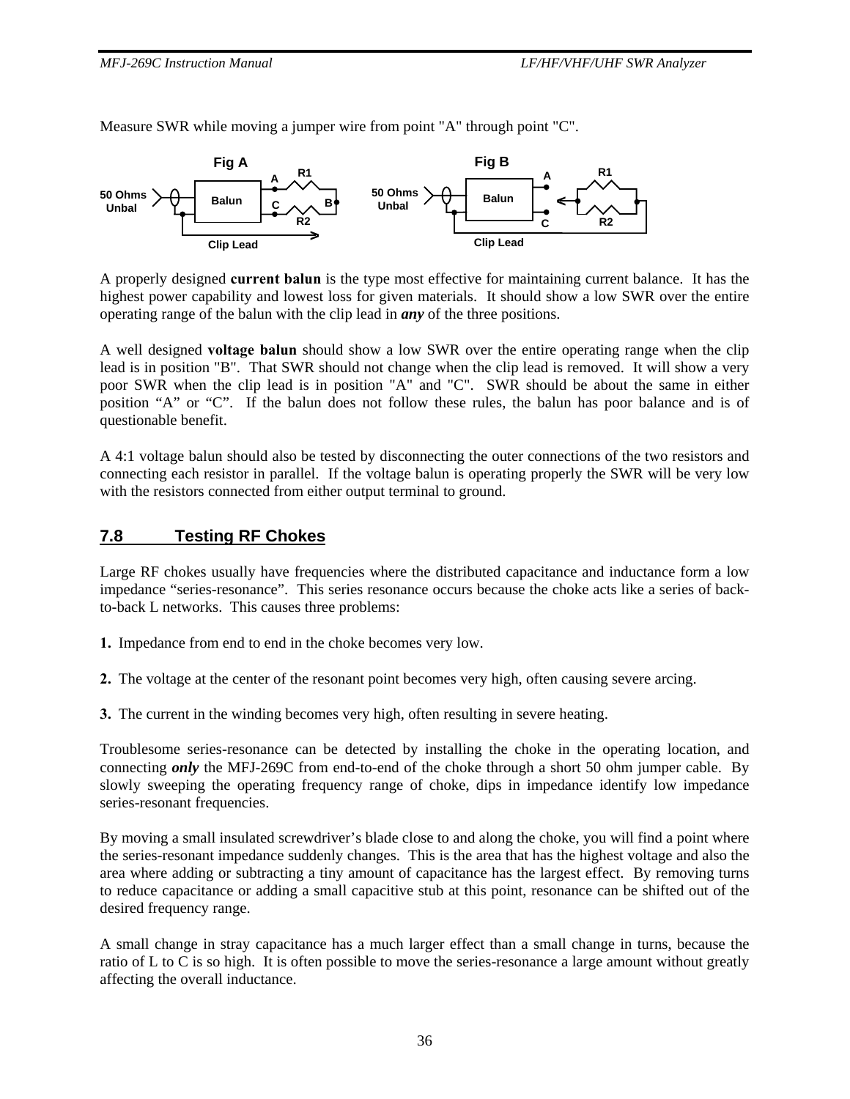Measure SWR while moving a jumper wire from point "A" through point "C".



A properly designed **current balun** is the type most effective for maintaining current balance. It has the highest power capability and lowest loss for given materials. It should show a low SWR over the entire operating range of the balun with the clip lead in *any* of the three positions.

A well designed **voltage balun** should show a low SWR over the entire operating range when the clip lead is in position "B". That SWR should not change when the clip lead is removed. It will show a very poor SWR when the clip lead is in position "A" and "C". SWR should be about the same in either position "A" or "C". If the balun does not follow these rules, the balun has poor balance and is of questionable benefit.

A 4:1 voltage balun should also be tested by disconnecting the outer connections of the two resistors and connecting each resistor in parallel. If the voltage balun is operating properly the SWR will be very low with the resistors connected from either output terminal to ground.

## **7.8 Testing RF Chokes**

Large RF chokes usually have frequencies where the distributed capacitance and inductance form a low impedance "series-resonance". This series resonance occurs because the choke acts like a series of backto-back L networks. This causes three problems:

- **1.** Impedance from end to end in the choke becomes very low.
- **2.** The voltage at the center of the resonant point becomes very high, often causing severe arcing.
- **3.** The current in the winding becomes very high, often resulting in severe heating.

Troublesome series-resonance can be detected by installing the choke in the operating location, and connecting *only* the MFJ-269C from end-to-end of the choke through a short 50 ohm jumper cable. By slowly sweeping the operating frequency range of choke, dips in impedance identify low impedance series-resonant frequencies.

By moving a small insulated screwdriver's blade close to and along the choke, you will find a point where the series-resonant impedance suddenly changes. This is the area that has the highest voltage and also the area where adding or subtracting a tiny amount of capacitance has the largest effect. By removing turns to reduce capacitance or adding a small capacitive stub at this point, resonance can be shifted out of the desired frequency range.

A small change in stray capacitance has a much larger effect than a small change in turns, because the ratio of L to C is so high. It is often possible to move the series-resonance a large amount without greatly affecting the overall inductance.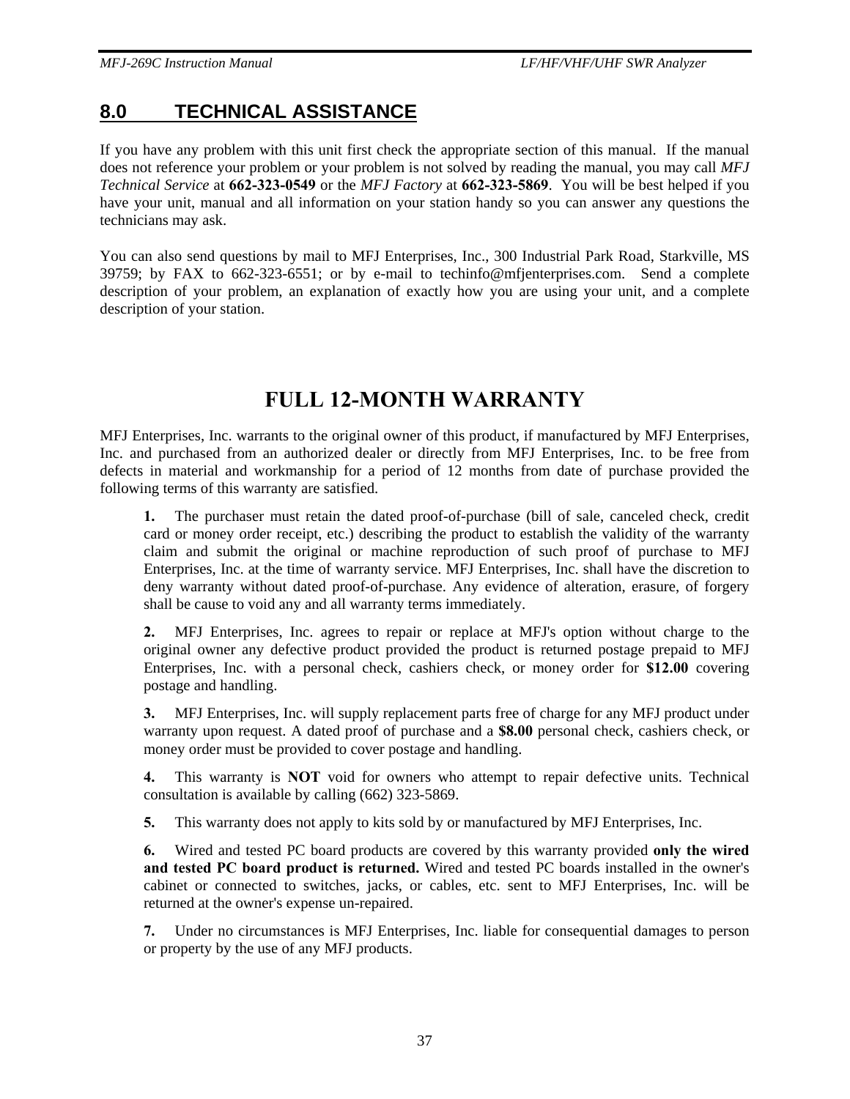# **8.0 TECHNICAL ASSISTANCE**

If you have any problem with this unit first check the appropriate section of this manual. If the manual does not reference your problem or your problem is not solved by reading the manual, you may call *MFJ Technical Service* at **662-323-0549** or the *MFJ Factory* at **662-323-5869**. You will be best helped if you have your unit, manual and all information on your station handy so you can answer any questions the technicians may ask.

You can also send questions by mail to MFJ Enterprises, Inc., 300 Industrial Park Road, Starkville, MS 39759; by FAX to 662-323-6551; or by e-mail to techinfo@mfjenterprises.com. Send a complete description of your problem, an explanation of exactly how you are using your unit, and a complete description of your station.

# **FULL 12-MONTH WARRANTY**

MFJ Enterprises, Inc. warrants to the original owner of this product, if manufactured by MFJ Enterprises, Inc. and purchased from an authorized dealer or directly from MFJ Enterprises, Inc. to be free from defects in material and workmanship for a period of 12 months from date of purchase provided the following terms of this warranty are satisfied.

**1.** The purchaser must retain the dated proof-of-purchase (bill of sale, canceled check, credit card or money order receipt, etc.) describing the product to establish the validity of the warranty claim and submit the original or machine reproduction of such proof of purchase to MFJ Enterprises, Inc. at the time of warranty service. MFJ Enterprises, Inc. shall have the discretion to deny warranty without dated proof-of-purchase. Any evidence of alteration, erasure, of forgery shall be cause to void any and all warranty terms immediately.

**2.** MFJ Enterprises, Inc. agrees to repair or replace at MFJ's option without charge to the original owner any defective product provided the product is returned postage prepaid to MFJ Enterprises, Inc. with a personal check, cashiers check, or money order for **\$12.00** covering postage and handling.

**3.** MFJ Enterprises, Inc. will supply replacement parts free of charge for any MFJ product under warranty upon request. A dated proof of purchase and a **\$8.00** personal check, cashiers check, or money order must be provided to cover postage and handling.

**4.** This warranty is **NOT** void for owners who attempt to repair defective units. Technical consultation is available by calling (662) 323-5869.

**5.** This warranty does not apply to kits sold by or manufactured by MFJ Enterprises, Inc.

**6.** Wired and tested PC board products are covered by this warranty provided **only the wired and tested PC board product is returned.** Wired and tested PC boards installed in the owner's cabinet or connected to switches, jacks, or cables, etc. sent to MFJ Enterprises, Inc. will be returned at the owner's expense un-repaired.

**7.** Under no circumstances is MFJ Enterprises, Inc. liable for consequential damages to person or property by the use of any MFJ products.